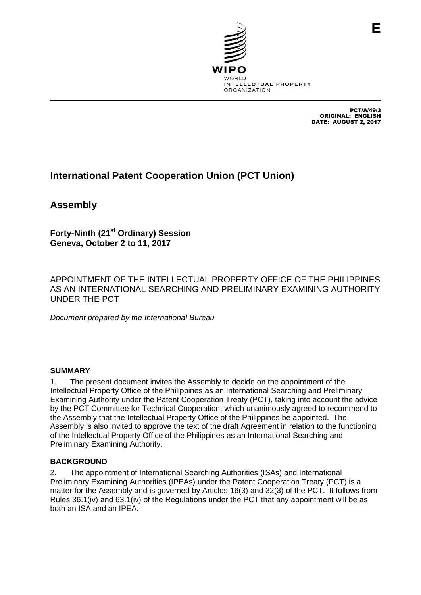

PCT/A/49/3 ORIGINAL: ENGLISH DATE: AUGUST 2, 2017

# **International Patent Cooperation Union (PCT Union)**

**Assembly**

**Forty-Ninth (21st Ordinary) Session Geneva, October 2 to 11, 2017**

APPOINTMENT OF THE INTELLECTUAL PROPERTY OFFICE OF THE PHILIPPINES AS AN INTERNATIONAL SEARCHING AND PRELIMINARY EXAMINING AUTHORITY UNDER THE PCT

*Document prepared by the International Bureau*

#### **SUMMARY**

1. The present document invites the Assembly to decide on the appointment of the Intellectual Property Office of the Philippines as an International Searching and Preliminary Examining Authority under the Patent Cooperation Treaty (PCT), taking into account the advice by the PCT Committee for Technical Cooperation, which unanimously agreed to recommend to the Assembly that the Intellectual Property Office of the Philippines be appointed. The Assembly is also invited to approve the text of the draft Agreement in relation to the functioning of the Intellectual Property Office of the Philippines as an International Searching and Preliminary Examining Authority.

#### **BACKGROUND**

2. The appointment of International Searching Authorities (ISAs) and International Preliminary Examining Authorities (IPEAs) under the Patent Cooperation Treaty (PCT) is a matter for the Assembly and is governed by Articles 16(3) and 32(3) of the PCT. It follows from Rules 36.1(iv) and 63.1(iv) of the Regulations under the PCT that any appointment will be as both an ISA and an IPEA.

**E**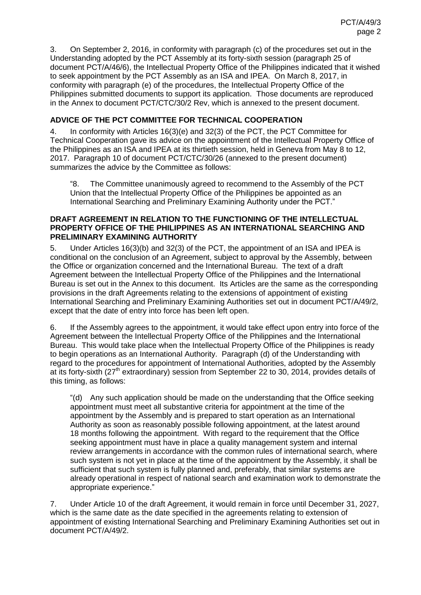3. On September 2, 2016, in conformity with paragraph (c) of the procedures set out in the Understanding adopted by the PCT Assembly at its forty-sixth session (paragraph 25 of document PCT/A/46/6), the Intellectual Property Office of the Philippines indicated that it wished to seek appointment by the PCT Assembly as an ISA and IPEA. On March 8, 2017, in conformity with paragraph (e) of the procedures, the Intellectual Property Office of the Philippines submitted documents to support its application. Those documents are reproduced in the Annex to document PCT/CTC/30/2 Rev, which is annexed to the present document.

# **ADVICE OF THE PCT COMMITTEE FOR TECHNICAL COOPERATION**

<span id="page-1-0"></span>4. In conformity with Articles 16(3)(e) and 32(3) of the PCT, the PCT Committee for Technical Cooperation gave its advice on the appointment of the Intellectual Property Office of the Philippines as an ISA and IPEA at its thirtieth session, held in Geneva from May 8 to 12, 2017. Paragraph 10 of document PCT/CTC/30/26 (annexed to the present document) summarizes the advice by the Committee as follows:

"8. The Committee unanimously agreed to recommend to the Assembly of the PCT Union that the Intellectual Property Office of the Philippines be appointed as an International Searching and Preliminary Examining Authority under the PCT."

#### **DRAFT AGREEMENT IN RELATION TO THE FUNCTIONING OF THE INTELLECTUAL PROPERTY OFFICE OF THE PHILIPPINES AS AN INTERNATIONAL SEARCHING AND PRELIMINARY EXAMINING AUTHORITY**

5. Under Articles 16(3)(b) and 32(3) of the PCT, the appointment of an ISA and IPEA is conditional on the conclusion of an Agreement, subject to approval by the Assembly, between the Office or organization concerned and the International Bureau. The text of a draft Agreement between the Intellectual Property Office of the Philippines and the International Bureau is set out in the Annex to this document. Its Articles are the same as the corresponding provisions in the draft Agreements relating to the extensions of appointment of existing International Searching and Preliminary Examining Authorities set out in document PCT/A/49/2, except that the date of entry into force has been left open.

6. If the Assembly agrees to the appointment, it would take effect upon entry into force of the Agreement between the Intellectual Property Office of the Philippines and the International Bureau. This would take place when the Intellectual Property Office of the Philippines is ready to begin operations as an International Authority. Paragraph (d) of the Understanding with regard to the procedures for appointment of International Authorities, adopted by the Assembly at its forty-sixth (27<sup>th</sup> extraordinary) session from September 22 to 30, 2014, provides details of this timing, as follows:

"(d) Any such application should be made on the understanding that the Office seeking appointment must meet all substantive criteria for appointment at the time of the appointment by the Assembly and is prepared to start operation as an International Authority as soon as reasonably possible following appointment, at the latest around 18 months following the appointment. With regard to the requirement that the Office seeking appointment must have in place a quality management system and internal review arrangements in accordance with the common rules of international search, where such system is not yet in place at the time of the appointment by the Assembly, it shall be sufficient that such system is fully planned and, preferably, that similar systems are already operational in respect of national search and examination work to demonstrate the appropriate experience."

7. Under Article 10 of the draft Agreement, it would remain in force until December 31, 2027, which is the same date as the date specified in the agreements relating to extension of appointment of existing International Searching and Preliminary Examining Authorities set out in document PCT/A/49/2.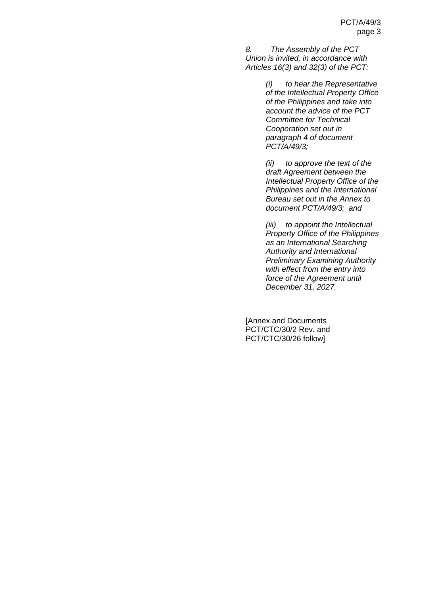*8. The Assembly of the PCT Union is invited, in accordance with Articles 16(3) and 32(3) of the PCT:*

> *(i) to hear the Representative of the Intellectual Property Office of the Philippines and take into account the advice of the PCT Committee for Technical Cooperation set out in paragraph [4](#page-1-0) of document PCT/A/49/3;*

> *(ii) to approve the text of the draft Agreement between the Intellectual Property Office of the Philippines and the International Bureau set out in the Annex to document PCT/A/49/3; and*

> *(iii) to appoint the Intellectual Property Office of the Philippines as an International Searching Authority and International Preliminary Examining Authority with effect from the entry into force of the Agreement until December 31, 2027.*

[Annex and Documents PCT/CTC/30/2 Rev. and PCT/CTC/30/26 follow]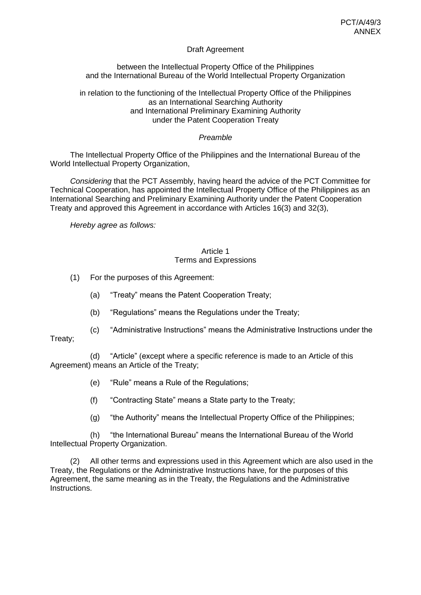## Draft Agreement

between the Intellectual Property Office of the Philippines and the International Bureau of the World Intellectual Property Organization

#### in relation to the functioning of the Intellectual Property Office of the Philippines as an International Searching Authority and International Preliminary Examining Authority under the Patent Cooperation Treaty

#### *Preamble*

The Intellectual Property Office of the Philippines and the International Bureau of the World Intellectual Property Organization,

*Considering* that the PCT Assembly, having heard the advice of the PCT Committee for Technical Cooperation, has appointed the Intellectual Property Office of the Philippines as an International Searching and Preliminary Examining Authority under the Patent Cooperation Treaty and approved this Agreement in accordance with Articles 16(3) and 32(3),

*Hereby agree as follows:*

#### Article 1 Terms and Expressions

- (1) For the purposes of this Agreement:
	- (a) "Treaty" means the Patent Cooperation Treaty;
	- (b) "Regulations" means the Regulations under the Treaty;
	- (c) "Administrative Instructions" means the Administrative Instructions under the

Treaty;

(d) "Article" (except where a specific reference is made to an Article of this Agreement) means an Article of the Treaty;

- (e) "Rule" means a Rule of the Regulations;
- (f) "Contracting State" means a State party to the Treaty;
- (g) "the Authority" means the Intellectual Property Office of the Philippines;

(h) "the International Bureau" means the International Bureau of the World Intellectual Property Organization.

(2) All other terms and expressions used in this Agreement which are also used in the Treaty, the Regulations or the Administrative Instructions have, for the purposes of this Agreement, the same meaning as in the Treaty, the Regulations and the Administrative Instructions.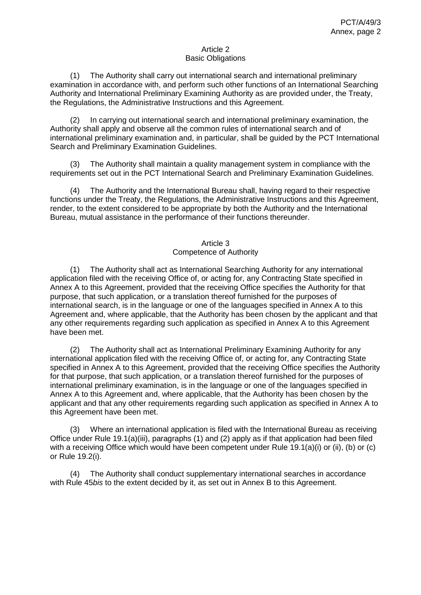#### Article 2 Basic Obligations

(1) The Authority shall carry out international search and international preliminary examination in accordance with, and perform such other functions of an International Searching Authority and International Preliminary Examining Authority as are provided under, the Treaty, the Regulations, the Administrative Instructions and this Agreement.

(2) In carrying out international search and international preliminary examination, the Authority shall apply and observe all the common rules of international search and of international preliminary examination and, in particular, shall be guided by the PCT International Search and Preliminary Examination Guidelines.

(3) The Authority shall maintain a quality management system in compliance with the requirements set out in the PCT International Search and Preliminary Examination Guidelines.

(4) The Authority and the International Bureau shall, having regard to their respective functions under the Treaty, the Regulations, the Administrative Instructions and this Agreement, render, to the extent considered to be appropriate by both the Authority and the International Bureau, mutual assistance in the performance of their functions thereunder.

#### Article 3 Competence of Authority

(1) The Authority shall act as International Searching Authority for any international application filed with the receiving Office of, or acting for, any Contracting State specified in Annex A to this Agreement, provided that the receiving Office specifies the Authority for that purpose, that such application, or a translation thereof furnished for the purposes of international search, is in the language or one of the languages specified in Annex A to this Agreement and, where applicable, that the Authority has been chosen by the applicant and that any other requirements regarding such application as specified in Annex A to this Agreement have been met.

(2) The Authority shall act as International Preliminary Examining Authority for any international application filed with the receiving Office of, or acting for, any Contracting State specified in Annex A to this Agreement, provided that the receiving Office specifies the Authority for that purpose, that such application, or a translation thereof furnished for the purposes of international preliminary examination, is in the language or one of the languages specified in Annex A to this Agreement and, where applicable, that the Authority has been chosen by the applicant and that any other requirements regarding such application as specified in Annex A to this Agreement have been met.

(3) Where an international application is filed with the International Bureau as receiving Office under Rule 19.1(a)(iii), paragraphs (1) and (2) apply as if that application had been filed with a receiving Office which would have been competent under Rule 19.1(a)(i) or (ii), (b) or (c) or Rule 19.2(i).

(4) The Authority shall conduct supplementary international searches in accordance with Rule 45*bis* to the extent decided by it, as set out in Annex B to this Agreement.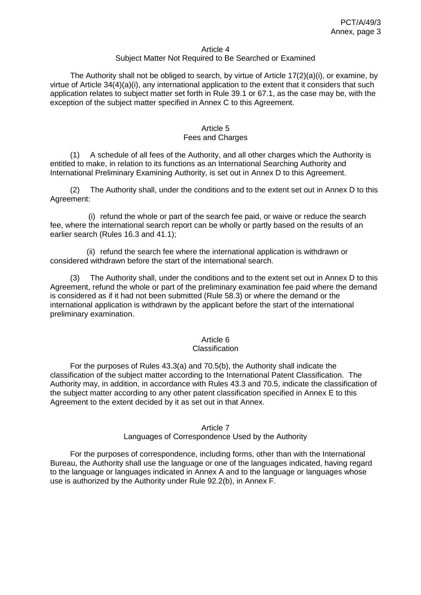#### Article 4

#### Subject Matter Not Required to Be Searched or Examined

The Authority shall not be obliged to search, by virtue of Article 17(2)(a)(i), or examine, by virtue of Article  $34(4)(a)(i)$ , any international application to the extent that it considers that such application relates to subject matter set forth in Rule 39.1 or 67.1, as the case may be, with the exception of the subject matter specified in Annex C to this Agreement.

#### Article 5

#### Fees and Charges

(1) A schedule of all fees of the Authority, and all other charges which the Authority is entitled to make, in relation to its functions as an International Searching Authority and International Preliminary Examining Authority, is set out in Annex D to this Agreement.

(2) The Authority shall, under the conditions and to the extent set out in Annex D to this Agreement:

(i) refund the whole or part of the search fee paid, or waive or reduce the search fee, where the international search report can be wholly or partly based on the results of an earlier search (Rules 16.3 and 41.1);

(ii) refund the search fee where the international application is withdrawn or considered withdrawn before the start of the international search.

(3) The Authority shall, under the conditions and to the extent set out in Annex D to this Agreement, refund the whole or part of the preliminary examination fee paid where the demand is considered as if it had not been submitted (Rule 58.3) or where the demand or the international application is withdrawn by the applicant before the start of the international preliminary examination.

#### Article 6

#### **Classification**

For the purposes of Rules 43.3(a) and 70.5(b), the Authority shall indicate the classification of the subject matter according to the International Patent Classification. The Authority may, in addition, in accordance with Rules 43.3 and 70.5, indicate the classification of the subject matter according to any other patent classification specified in Annex E to this Agreement to the extent decided by it as set out in that Annex.

#### Article 7

#### Languages of Correspondence Used by the Authority

For the purposes of correspondence, including forms, other than with the International Bureau, the Authority shall use the language or one of the languages indicated, having regard to the language or languages indicated in Annex A and to the language or languages whose use is authorized by the Authority under Rule 92.2(b), in Annex F.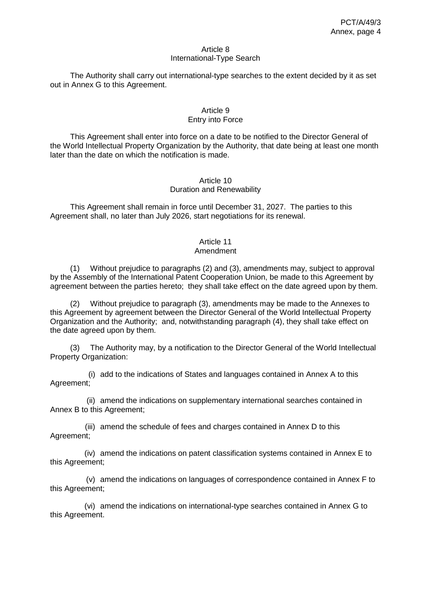#### Article 8 International-Type Search

The Authority shall carry out international-type searches to the extent decided by it as set out in Annex G to this Agreement.

#### Article 9 Entry into Force

This Agreement shall enter into force on a date to be notified to the Director General of the World Intellectual Property Organization by the Authority, that date being at least one month later than the date on which the notification is made.

#### Article 10 Duration and Renewability

This Agreement shall remain in force until December 31, 2027. The parties to this Agreement shall, no later than July 2026, start negotiations for its renewal.

# Article 11

# Amendment

(1) Without prejudice to paragraphs (2) and (3), amendments may, subject to approval by the Assembly of the International Patent Cooperation Union, be made to this Agreement by agreement between the parties hereto; they shall take effect on the date agreed upon by them.

(2) Without prejudice to paragraph (3), amendments may be made to the Annexes to this Agreement by agreement between the Director General of the World Intellectual Property Organization and the Authority; and, notwithstanding paragraph (4), they shall take effect on the date agreed upon by them.

(3) The Authority may, by a notification to the Director General of the World Intellectual Property Organization:

(i) add to the indications of States and languages contained in Annex A to this Agreement;

(ii) amend the indications on supplementary international searches contained in Annex B to this Agreement;

(iii) amend the schedule of fees and charges contained in Annex D to this Agreement;

(iv) amend the indications on patent classification systems contained in Annex E to this Agreement;

(v) amend the indications on languages of correspondence contained in Annex F to this Agreement;

(vi) amend the indications on international-type searches contained in Annex G to this Agreement.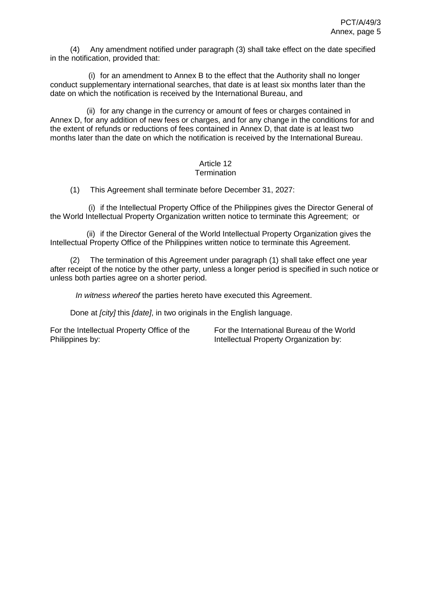(4) Any amendment notified under paragraph (3) shall take effect on the date specified in the notification, provided that:

(i) for an amendment to Annex B to the effect that the Authority shall no longer conduct supplementary international searches, that date is at least six months later than the date on which the notification is received by the International Bureau, and

(ii) for any change in the currency or amount of fees or charges contained in Annex D, for any addition of new fees or charges, and for any change in the conditions for and the extent of refunds or reductions of fees contained in Annex D, that date is at least two months later than the date on which the notification is received by the International Bureau.

# Article 12

## **Termination**

(1) This Agreement shall terminate before December 31, 2027:

(i) if the Intellectual Property Office of the Philippines gives the Director General of the World Intellectual Property Organization written notice to terminate this Agreement; or

(ii) if the Director General of the World Intellectual Property Organization gives the Intellectual Property Office of the Philippines written notice to terminate this Agreement.

(2) The termination of this Agreement under paragraph (1) shall take effect one year after receipt of the notice by the other party, unless a longer period is specified in such notice or unless both parties agree on a shorter period.

*In witness whereof* the parties hereto have executed this Agreement.

Done at *[city]* this *[date]*, in two originals in the English language.

For the Intellectual Property Office of the Philippines by:

For the International Bureau of the World Intellectual Property Organization by: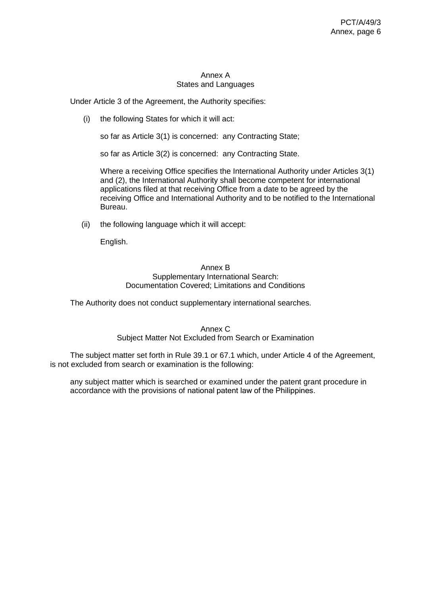#### Annex A States and Languages

Under Article 3 of the Agreement, the Authority specifies:

(i) the following States for which it will act:

so far as Article 3(1) is concerned: any Contracting State;

so far as Article 3(2) is concerned: any Contracting State.

Where a receiving Office specifies the International Authority under Articles 3(1) and (2), the International Authority shall become competent for international applications filed at that receiving Office from a date to be agreed by the receiving Office and International Authority and to be notified to the International Bureau.

(ii) the following language which it will accept:

English.

#### Annex B Supplementary International Search: Documentation Covered; Limitations and Conditions

The Authority does not conduct supplementary international searches.

#### Annex C

# Subject Matter Not Excluded from Search or Examination

The subject matter set forth in Rule 39.1 or 67.1 which, under Article 4 of the Agreement, is not excluded from search or examination is the following:

any subject matter which is searched or examined under the patent grant procedure in accordance with the provisions of national patent law of the Philippines.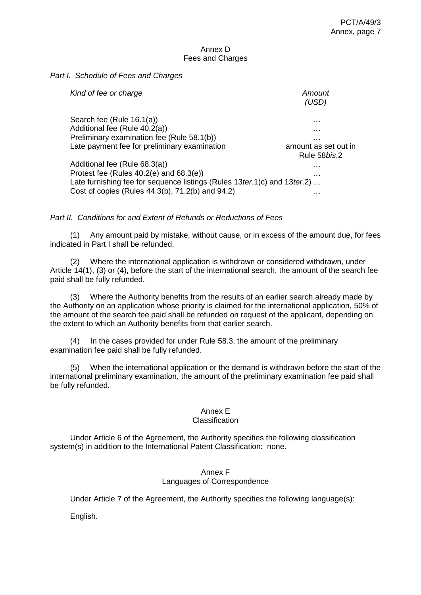#### Annex D Fees and Charges

#### *Part I. Schedule of Fees and Charges*

| Kind of fee or charge                                                                                                                                                                                         | Amount<br>(USD)                      |
|---------------------------------------------------------------------------------------------------------------------------------------------------------------------------------------------------------------|--------------------------------------|
| Search fee (Rule 16.1(a))<br>Additional fee (Rule 40.2(a))<br>Preliminary examination fee (Rule 58.1(b))                                                                                                      | .<br>.<br>.                          |
| Late payment fee for preliminary examination                                                                                                                                                                  | amount as set out in<br>Rule 58bis.2 |
| Additional fee (Rule 68.3(a))<br>Protest fee (Rules $40.2(e)$ and $68.3(e)$ )<br>Late furnishing fee for sequence listings (Rules 13ter.1(c) and 13ter.2)<br>Cost of copies (Rules 44.3(b), 71.2(b) and 94.2) | .<br>.<br>.                          |

# *Part II. Conditions for and Extent of Refunds or Reductions of Fees*

(1) Any amount paid by mistake, without cause, or in excess of the amount due, for fees indicated in Part I shall be refunded.

(2) Where the international application is withdrawn or considered withdrawn, under Article 14(1), (3) or (4), before the start of the international search, the amount of the search fee paid shall be fully refunded.

(3) Where the Authority benefits from the results of an earlier search already made by the Authority on an application whose priority is claimed for the international application, 50% of the amount of the search fee paid shall be refunded on request of the applicant, depending on the extent to which an Authority benefits from that earlier search.

(4) In the cases provided for under Rule 58.3, the amount of the preliminary examination fee paid shall be fully refunded.

(5) When the international application or the demand is withdrawn before the start of the international preliminary examination, the amount of the preliminary examination fee paid shall be fully refunded.

# Annex E

## **Classification**

Under Article 6 of the Agreement, the Authority specifies the following classification system(s) in addition to the International Patent Classification: none.

#### Annex F Languages of Correspondence

Under Article 7 of the Agreement, the Authority specifies the following language(s):

English.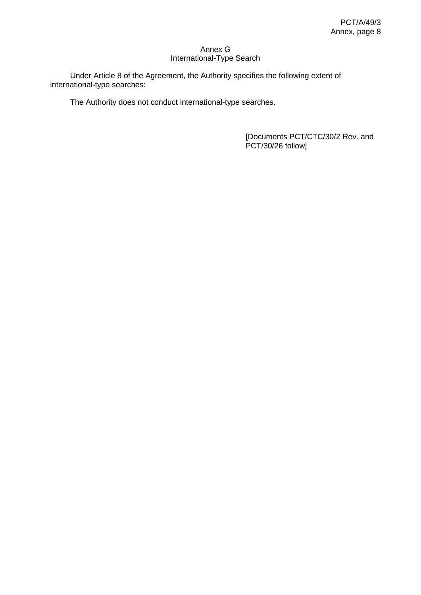#### Annex G International-Type Search

Under Article 8 of the Agreement, the Authority specifies the following extent of international-type searches:

The Authority does not conduct international-type searches.

[Documents PCT/CTC/30/2 Rev. and PCT/30/26 follow]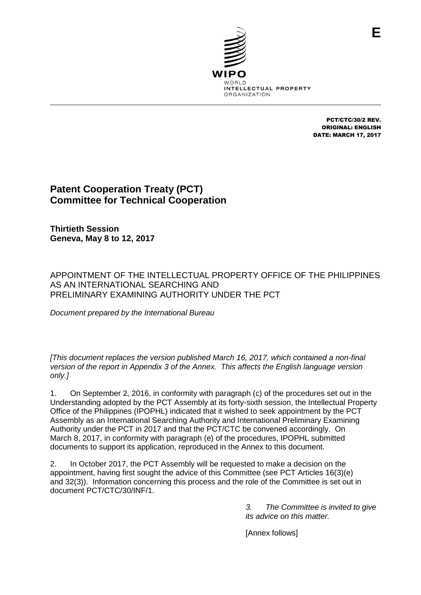

PCT/CTC/30/2 REV. ORIGINAL: ENGLISH DATE: MARCH 17, 2017

# **Patent Cooperation Treaty (PCT) Committee for Technical Cooperation**

**Thirtieth Session Geneva, May 8 to 12, 2017**

APPOINTMENT OF THE INTELLECTUAL PROPERTY OFFICE OF THE PHILIPPINES AS AN INTERNATIONAL SEARCHING AND PRELIMINARY EXAMINING AUTHORITY UNDER THE PCT

*Document prepared by the International Bureau*

*[This document replaces the version published March 16, 2017, which contained a non-final version of the report in Appendix 3 of the Annex. This affects the English language version only.]*

1. On September 2, 2016, in conformity with paragraph (c) of the procedures set out in the Understanding adopted by the PCT Assembly at its forty-sixth session, the Intellectual Property Office of the Philippines (IPOPHL) indicated that it wished to seek appointment by the PCT Assembly as an International Searching Authority and International Preliminary Examining Authority under the PCT in 2017 and that the PCT/CTC be convened accordingly. On March 8, 2017, in conformity with paragraph (e) of the procedures, IPOPHL submitted documents to support its application, reproduced in the Annex to this document.

2. In October 2017, the PCT Assembly will be requested to make a decision on the appointment, having first sought the advice of this Committee (see PCT Articles 16(3)(e) and 32(3)). Information concerning this process and the role of the Committee is set out in document PCT/CTC/30/INF/1.

> *3. The Committee is invited to give its advice on this matter.*

[Annex follows]

**E**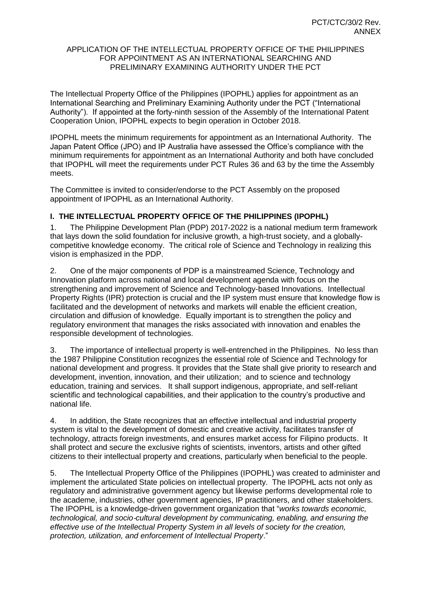#### APPLICATION OF THE INTELLECTUAL PROPERTY OFFICE OF THE PHILIPPINES FOR APPOINTMENT AS AN INTERNATIONAL SEARCHING AND PRELIMINARY EXAMINING AUTHORITY UNDER THE PCT

The Intellectual Property Office of the Philippines (IPOPHL) applies for appointment as an International Searching and Preliminary Examining Authority under the PCT ("International Authority"). If appointed at the forty-ninth session of the Assembly of the International Patent Cooperation Union, IPOPHL expects to begin operation in October 2018.

IPOPHL meets the minimum requirements for appointment as an International Authority. The Japan Patent Office (JPO) and IP Australia have assessed the Office's compliance with the minimum requirements for appointment as an International Authority and both have concluded that IPOPHL will meet the requirements under PCT Rules 36 and 63 by the time the Assembly meets.

The Committee is invited to consider/endorse to the PCT Assembly on the proposed appointment of IPOPHL as an International Authority.

#### **I. THE INTELLECTUAL PROPERTY OFFICE OF THE PHILIPPINES (IPOPHL)**

1. The Philippine Development Plan (PDP) 2017-2022 is a national medium term framework that lays down the solid foundation for inclusive growth, a high-trust society, and a globallycompetitive knowledge economy. The critical role of Science and Technology in realizing this vision is emphasized in the PDP.

2. One of the major components of PDP is a mainstreamed Science, Technology and Innovation platform across national and local development agenda with focus on the strengthening and improvement of Science and Technology-based Innovations. Intellectual Property Rights (IPR) protection is crucial and the IP system must ensure that knowledge flow is facilitated and the development of networks and markets will enable the efficient creation, circulation and diffusion of knowledge. Equally important is to strengthen the policy and regulatory environment that manages the risks associated with innovation and enables the responsible development of technologies.

3. The importance of intellectual property is well-entrenched in the Philippines. No less than the 1987 Philippine Constitution recognizes the essential role of Science and Technology for national development and progress. It provides that the State shall give priority to research and development, invention, innovation, and their utilization; and to science and technology education, training and services. It shall support indigenous, appropriate, and self-reliant scientific and technological capabilities, and their application to the country's productive and national life.

4. In addition, the State recognizes that an effective intellectual and industrial property system is vital to the development of domestic and creative activity, facilitates transfer of technology, attracts foreign investments, and ensures market access for Filipino products. It shall protect and secure the exclusive rights of scientists, inventors, artists and other gifted citizens to their intellectual property and creations, particularly when beneficial to the people.

5. The Intellectual Property Office of the Philippines (IPOPHL) was created to administer and implement the articulated State policies on intellectual property. The IPOPHL acts not only as regulatory and administrative government agency but likewise performs developmental role to the academe, industries, other government agencies, IP practitioners, and other stakeholders. The IPOPHL is a knowledge-driven government organization that "*works towards economic, technological, and socio*‐*cultural development by communicating, enabling, and ensuring the effective use of the Intellectual Property System in all levels of society for the creation, protection, utilization, and enforcement of Intellectual Property*."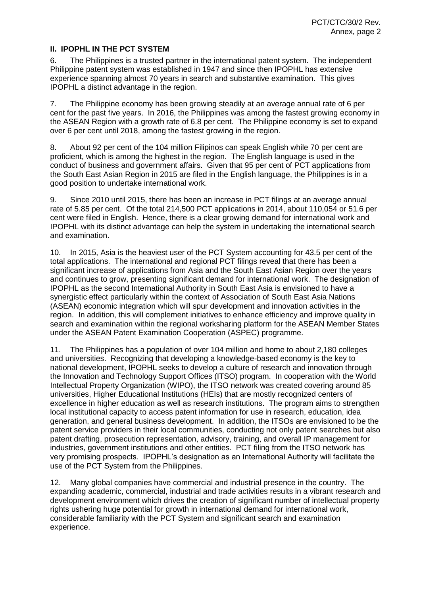#### **II. IPOPHL IN THE PCT SYSTEM**

6. The Philippines is a trusted partner in the international patent system. The independent Philippine patent system was established in 1947 and since then IPOPHL has extensive experience spanning almost 70 years in search and substantive examination. This gives IPOPHL a distinct advantage in the region.

7. The Philippine economy has been growing steadily at an average annual rate of 6 per cent for the past five years. In 2016, the Philippines was among the fastest growing economy in the ASEAN Region with a growth rate of 6.8 per cent. The Philippine economy is set to expand over 6 per cent until 2018, among the fastest growing in the region.

8. About 92 per cent of the 104 million Filipinos can speak English while 70 per cent are proficient, which is among the highest in the region. The English language is used in the conduct of business and government affairs. Given that 95 per cent of PCT applications from the South East Asian Region in 2015 are filed in the English language, the Philippines is in a good position to undertake international work.

9. Since 2010 until 2015, there has been an increase in PCT filings at an average annual rate of 5.85 per cent. Of the total 214,500 PCT applications in 2014, about 110,054 or 51.6 per cent were filed in English. Hence, there is a clear growing demand for international work and IPOPHL with its distinct advantage can help the system in undertaking the international search and examination.

10. In 2015, Asia is the heaviest user of the PCT System accounting for 43.5 per cent of the total applications. The international and regional PCT filings reveal that there has been a significant increase of applications from Asia and the South East Asian Region over the years and continues to grow, presenting significant demand for international work. The designation of IPOPHL as the second International Authority in South East Asia is envisioned to have a synergistic effect particularly within the context of Association of South East Asia Nations (ASEAN) economic integration which will spur development and innovation activities in the region. In addition, this will complement initiatives to enhance efficiency and improve quality in search and examination within the regional worksharing platform for the ASEAN Member States under the ASEAN Patent Examination Cooperation (ASPEC) programme.

11. The Philippines has a population of over 104 million and home to about 2,180 colleges and universities. Recognizing that developing a knowledge-based economy is the key to national development, IPOPHL seeks to develop a culture of research and innovation through the Innovation and Technology Support Offices (ITSO) program. In cooperation with the World Intellectual Property Organization (WIPO), the ITSO network was created covering around 85 universities, Higher Educational Institutions (HEIs) that are mostly recognized centers of excellence in higher education as well as research institutions. The program aims to strengthen local institutional capacity to access patent information for use in research, education, idea generation, and general business development. In addition, the ITSOs are envisioned to be the patent service providers in their local communities, conducting not only patent searches but also patent drafting, prosecution representation, advisory, training, and overall IP management for industries, government institutions and other entities. PCT filing from the ITSO network has very promising prospects. IPOPHL's designation as an International Authority will facilitate the use of the PCT System from the Philippines.

12. Many global companies have commercial and industrial presence in the country. The expanding academic, commercial, industrial and trade activities results in a vibrant research and development environment which drives the creation of significant number of intellectual property rights ushering huge potential for growth in international demand for international work, considerable familiarity with the PCT System and significant search and examination experience.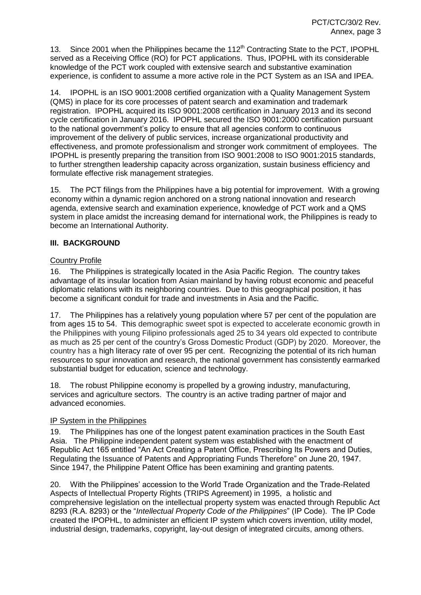13. Since 2001 when the Philippines became the 112<sup>th</sup> Contracting State to the PCT, IPOPHL served as a Receiving Office (RO) for PCT applications. Thus, IPOPHL with its considerable knowledge of the PCT work coupled with extensive search and substantive examination experience, is confident to assume a more active role in the PCT System as an ISA and IPEA.

14. IPOPHL is an ISO 9001:2008 certified organization with a Quality Management System (QMS) in place for its core processes of patent search and examination and trademark registration. IPOPHL acquired its ISO 9001:2008 certification in January 2013 and its second cycle certification in January 2016. IPOPHL secured the ISO 9001:2000 certification pursuant to the national government's policy to ensure that all agencies conform to continuous improvement of the delivery of public services, increase organizational productivity and effectiveness, and promote professionalism and stronger work commitment of employees. The IPOPHL is presently preparing the transition from ISO 9001:2008 to ISO 9001:2015 standards, to further strengthen leadership capacity across organization, sustain business efficiency and formulate effective risk management strategies.

15. The PCT filings from the Philippines have a big potential for improvement. With a growing economy within a dynamic region anchored on a strong national innovation and research agenda, extensive search and examination experience, knowledge of PCT work and a QMS system in place amidst the increasing demand for international work, the Philippines is ready to become an International Authority.

#### **III. BACKGROUND**

#### Country Profile

16. The Philippines is strategically located in the Asia Pacific Region. The country takes advantage of its insular location from Asian mainland by having robust economic and peaceful diplomatic relations with its neighboring countries. Due to this geographical position, it has become a significant conduit for trade and investments in Asia and the Pacific.

17. The Philippines has a relatively young population where 57 per cent of the population are from ages 15 to 54. This demographic sweet spot is expected to accelerate economic growth in the Philippines with young Filipino professionals aged 25 to 34 years old expected to contribute as much as 25 per cent of the country's Gross Domestic Product (GDP) by 2020. Moreover, the country has a high literacy rate of over 95 per cent. Recognizing the potential of its rich human resources to spur innovation and research, the national government has consistently earmarked substantial budget for education, science and technology.

18. The robust Philippine economy is propelled by a growing industry, manufacturing, services and agriculture sectors. The country is an active trading partner of major and advanced economies.

#### IP System in the Philippines

19. The Philippines has one of the longest patent examination practices in the South East Asia. The Philippine independent patent system was established with the enactment of Republic Act 165 entitled "An Act Creating a Patent Office, Prescribing Its Powers and Duties, Regulating the Issuance of Patents and Appropriating Funds Therefore" on June 20, 1947. Since 1947, the Philippine Patent Office has been examining and granting patents.

20. With the Philippines' accession to the World Trade Organization and the Trade-Related Aspects of Intellectual Property Rights (TRIPS Agreement) in 1995, a holistic and comprehensive legislation on the intellectual property system was enacted through Republic Act 8293 (R.A. 8293) or the "*Intellectual Property Code of the Philippines*" (IP Code). The IP Code created the IPOPHL, to administer an efficient IP system which covers invention, utility model, industrial design, trademarks, copyright, lay-out design of integrated circuits, among others.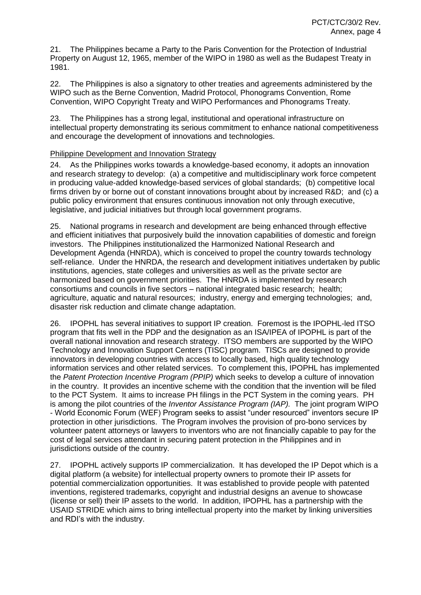21. The Philippines became a Party to the Paris Convention for the Protection of Industrial Property on August 12, 1965, member of the WIPO in 1980 as well as the Budapest Treaty in 1981.

22. The Philippines is also a signatory to other treaties and agreements administered by the WIPO such as the Berne Convention, Madrid Protocol, Phonograms Convention, Rome Convention, WIPO Copyright Treaty and WIPO Performances and Phonograms Treaty.

23. The Philippines has a strong legal, institutional and operational infrastructure on intellectual property demonstrating its serious commitment to enhance national competitiveness and encourage the development of innovations and technologies.

#### Philippine Development and Innovation Strategy

24. As the Philippines works towards a knowledge-based economy, it adopts an innovation and research strategy to develop: (a) a competitive and multidisciplinary work force competent in producing value-added knowledge-based services of global standards; (b) competitive local firms driven by or borne out of constant innovations brought about by increased R&D; and (c) a public policy environment that ensures continuous innovation not only through executive, legislative, and judicial initiatives but through local government programs.

25. National programs in research and development are being enhanced through effective and efficient initiatives that purposively build the innovation capabilities of domestic and foreign investors. The Philippines institutionalized the Harmonized National Research and Development Agenda (HNRDA), which is conceived to propel the country towards technology self-reliance. Under the HNRDA, the research and development initiatives undertaken by public institutions, agencies, state colleges and universities as well as the private sector are harmonized based on government priorities. The HNRDA is implemented by research consortiums and councils in five sectors – national integrated basic research; health; agriculture, aquatic and natural resources; industry, energy and emerging technologies; and, disaster risk reduction and climate change adaptation.

26. IPOPHL has several initiatives to support IP creation. Foremost is the IPOPHL-led ITSO program that fits well in the PDP and the designation as an ISA/IPEA of IPOPHL is part of the overall national innovation and research strategy. ITSO members are supported by the WIPO Technology and Innovation Support Centers (TISC) program. TISCs are designed to provide innovators in developing countries with access to locally based, high quality technology information services and other related services. To complement this, IPOPHL has implemented the *Patent Protection Incentive Program (PPIP)* which seeks to develop a culture of innovation in the country. It provides an incentive scheme with the condition that the invention will be filed to the PCT System. It aims to increase PH filings in the PCT System in the coming years. PH is among the pilot countries of the *Inventor Assistance Program (IAP).* The joint program WIPO - World Economic Forum (WEF) Program seeks to assist "under resourced" inventors secure IP protection in other jurisdictions. The Program involves the provision of pro-bono services by volunteer patent attorneys or lawyers to inventors who are not financially capable to pay for the cost of legal services attendant in securing patent protection in the Philippines and in jurisdictions outside of the country.

27. IPOPHL actively supports IP commercialization. It has developed the IP Depot which is a digital platform (a website) for intellectual property owners to promote their IP assets for potential commercialization opportunities. It was established to provide people with patented inventions, registered trademarks, copyright and industrial designs an avenue to showcase (license or sell) their IP assets to the world. In addition, IPOPHL has a partnership with the USAID STRIDE which aims to bring intellectual property into the market by linking universities and RDI's with the industry.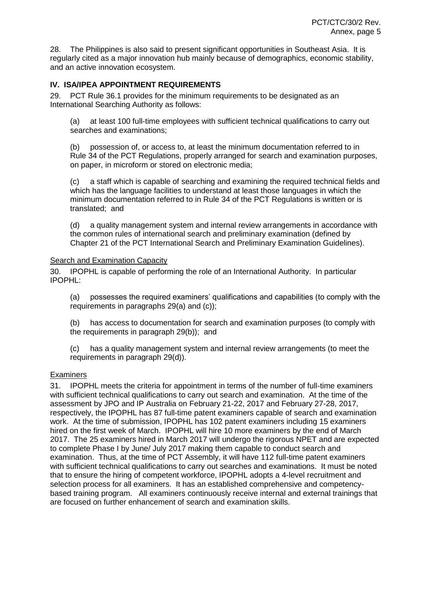28. The Philippines is also said to present significant opportunities in Southeast Asia. It is regularly cited as a major innovation hub mainly because of demographics, economic stability, and an active innovation ecosystem.

# **IV. ISA/IPEA APPOINTMENT REQUIREMENTS**

29. PCT Rule 36.1 provides for the minimum requirements to be designated as an International Searching Authority as follows:

(a) at least 100 full-time employees with sufficient technical qualifications to carry out searches and examinations;

(b) possession of, or access to, at least the minimum documentation referred to in Rule 34 of the PCT Regulations, properly arranged for search and examination purposes, on paper, in microform or stored on electronic media;

(c) a staff which is capable of searching and examining the required technical fields and which has the language facilities to understand at least those languages in which the minimum documentation referred to in Rule 34 of the PCT Regulations is written or is translated; and

(d) a quality management system and internal review arrangements in accordance with the common rules of international search and preliminary examination (defined by Chapter 21 of the PCT International Search and Preliminary Examination Guidelines).

#### Search and Examination Capacity

30. IPOPHL is capable of performing the role of an International Authority. In particular IPOPHL:

(a) possesses the required examiners' qualifications and capabilities (to comply with the requirements in paragraphs 29(a) and (c));

(b) has access to documentation for search and examination purposes (to comply with the requirements in paragraph 29(b)); and

(c) has a quality management system and internal review arrangements (to meet the requirements in paragraph 29(d)).

#### **Examiners**

31. IPOPHL meets the criteria for appointment in terms of the number of full-time examiners with sufficient technical qualifications to carry out search and examination. At the time of the assessment by JPO and IP Australia on February 21-22, 2017 and February 27-28, 2017, respectively, the IPOPHL has 87 full-time patent examiners capable of search and examination work. At the time of submission, IPOPHL has 102 patent examiners including 15 examiners hired on the first week of March. IPOPHL will hire 10 more examiners by the end of March 2017. The 25 examiners hired in March 2017 will undergo the rigorous NPET and are expected to complete Phase I by June/ July 2017 making them capable to conduct search and examination. Thus, at the time of PCT Assembly, it will have 112 full-time patent examiners with sufficient technical qualifications to carry out searches and examinations. It must be noted that to ensure the hiring of competent workforce, IPOPHL adopts a 4-level recruitment and selection process for all examiners. It has an established comprehensive and competencybased training program. All examiners continuously receive internal and external trainings that are focused on further enhancement of search and examination skills.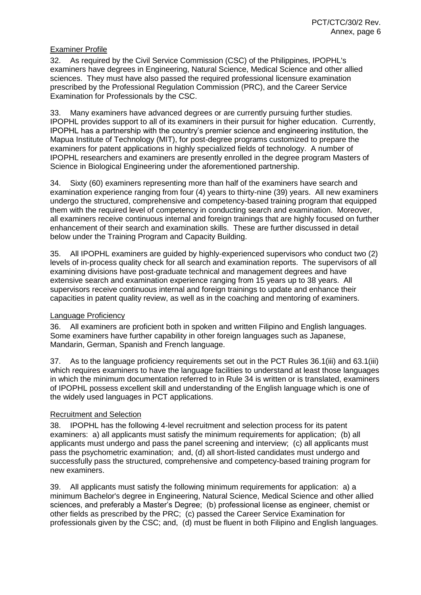#### Examiner Profile

32. As required by the Civil Service Commission (CSC) of the Philippines, IPOPHL's examiners have degrees in Engineering, Natural Science, Medical Science and other allied sciences. They must have also passed the required professional licensure examination prescribed by the Professional Regulation Commission (PRC), and the Career Service Examination for Professionals by the CSC.

33. Many examiners have advanced degrees or are currently pursuing further studies. IPOPHL provides support to all of its examiners in their pursuit for higher education. Currently, IPOPHL has a partnership with the country's premier science and engineering institution, the Mapua Institute of Technology (MIT), for post-degree programs customized to prepare the examiners for patent applications in highly specialized fields of technology. A number of IPOPHL researchers and examiners are presently enrolled in the degree program Masters of Science in Biological Engineering under the aforementioned partnership.

34. Sixty (60) examiners representing more than half of the examiners have search and examination experience ranging from four (4) years to thirty-nine (39) years. All new examiners undergo the structured, comprehensive and competency-based training program that equipped them with the required level of competency in conducting search and examination. Moreover, all examiners receive continuous internal and foreign trainings that are highly focused on further enhancement of their search and examination skills. These are further discussed in detail below under the Training Program and Capacity Building.

35. All IPOPHL examiners are guided by highly-experienced supervisors who conduct two (2) levels of in-process quality check for all search and examination reports. The supervisors of all examining divisions have post-graduate technical and management degrees and have extensive search and examination experience ranging from 15 years up to 38 years. All supervisors receive continuous internal and foreign trainings to update and enhance their capacities in patent quality review, as well as in the coaching and mentoring of examiners.

#### Language Proficiency

36. All examiners are proficient both in spoken and written Filipino and English languages. Some examiners have further capability in other foreign languages such as Japanese, Mandarin, German, Spanish and French language.

37. As to the language proficiency requirements set out in the PCT Rules 36.1(iii) and 63.1(iii) which requires examiners to have the language facilities to understand at least those languages in which the minimum documentation referred to in Rule 34 is written or is translated, examiners of IPOPHL possess excellent skill and understanding of the English language which is one of the widely used languages in PCT applications.

#### Recruitment and Selection

38. IPOPHL has the following 4-level recruitment and selection process for its patent examiners: a) all applicants must satisfy the minimum requirements for application; (b) all applicants must undergo and pass the panel screening and interview; (c) all applicants must pass the psychometric examination; and, (d) all short-listed candidates must undergo and successfully pass the structured, comprehensive and competency-based training program for new examiners.

39. All applicants must satisfy the following minimum requirements for application: a) a minimum Bachelor's degree in Engineering, Natural Science, Medical Science and other allied sciences, and preferably a Master's Degree; (b) professional license as engineer, chemist or other fields as prescribed by the PRC; (c) passed the Career Service Examination for professionals given by the CSC; and, (d) must be fluent in both Filipino and English languages.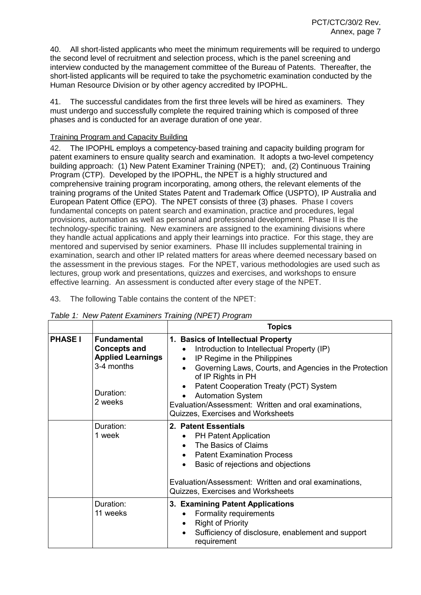40. All short-listed applicants who meet the minimum requirements will be required to undergo the second level of recruitment and selection process, which is the panel screening and interview conducted by the management committee of the Bureau of Patents. Thereafter, the short-listed applicants will be required to take the psychometric examination conducted by the Human Resource Division or by other agency accredited by IPOPHL.

41. The successful candidates from the first three levels will be hired as examiners. They must undergo and successfully complete the required training which is composed of three phases and is conducted for an average duration of one year.

## Training Program and Capacity Building

42. The IPOPHL employs a competency-based training and capacity building program for patent examiners to ensure quality search and examination. It adopts a two-level competency building approach: (1) New Patent Examiner Training (NPET); and, (2) Continuous Training Program (CTP). Developed by the IPOPHL, the NPET is a highly structured and comprehensive training program incorporating, among others, the relevant elements of the training programs of the United States Patent and Trademark Office (USPTO), IP Australia and European Patent Office (EPO). The NPET consists of three (3) phases. Phase I covers fundamental concepts on patent search and examination, practice and procedures, legal provisions, automation as well as personal and professional development. Phase II is the technology-specific training. New examiners are assigned to the examining divisions where they handle actual applications and apply their learnings into practice. For this stage, they are mentored and supervised by senior examiners. Phase III includes supplemental training in examination, search and other IP related matters for areas where deemed necessary based on the assessment in the previous stages. For the NPET, various methodologies are used such as lectures, group work and presentations, quizzes and exercises, and workshops to ensure effective learning. An assessment is conducted after every stage of the NPET.

43. The following Table contains the content of the NPET:

|                |                                                                                                             | <b>Topics</b>                                                                                                                                                                                                                                                                                                                                                                                                            |
|----------------|-------------------------------------------------------------------------------------------------------------|--------------------------------------------------------------------------------------------------------------------------------------------------------------------------------------------------------------------------------------------------------------------------------------------------------------------------------------------------------------------------------------------------------------------------|
| <b>PHASE I</b> | <b>Fundamental</b><br><b>Concepts and</b><br><b>Applied Learnings</b><br>3-4 months<br>Duration:<br>2 weeks | 1. Basics of Intellectual Property<br>Introduction to Intellectual Property (IP)<br>$\bullet$<br>IP Regime in the Philippines<br>$\bullet$<br>Governing Laws, Courts, and Agencies in the Protection<br>$\bullet$<br>of IP Rights in PH<br>Patent Cooperation Treaty (PCT) System<br>$\bullet$<br><b>Automation System</b><br>Evaluation/Assessment: Written and oral examinations,<br>Quizzes, Exercises and Worksheets |
|                | Duration:<br>1 week                                                                                         | 2. Patent Essentials<br><b>PH Patent Application</b><br>$\bullet$<br>• The Basics of Claims<br><b>Patent Examination Process</b><br>$\bullet$<br>Basic of rejections and objections<br>$\bullet$<br>Evaluation/Assessment: Written and oral examinations,<br>Quizzes, Exercises and Worksheets                                                                                                                           |
|                | Duration:<br>11 weeks                                                                                       | 3. Examining Patent Applications<br>Formality requirements<br><b>Right of Priority</b><br>$\bullet$<br>Sufficiency of disclosure, enablement and support<br>$\bullet$<br>requirement                                                                                                                                                                                                                                     |

*Table 1: New Patent Examiners Training (NPET) Program*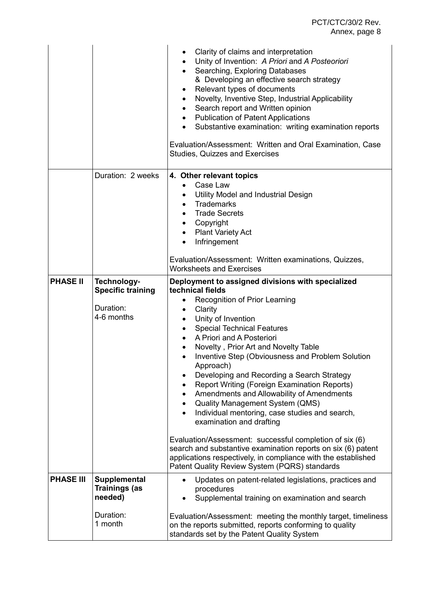# PCT/CTC/30/2 Rev. Annex, page 8

|                  |                                                                    | Clarity of claims and interpretation<br>Unity of Invention: A Priori and A Posteoriori<br>$\bullet$<br>Searching, Exploring Databases<br>& Developing an effective search strategy<br>Relevant types of documents<br>Novelty, Inventive Step, Industrial Applicability<br>Search report and Written opinion<br><b>Publication of Patent Applications</b><br>Substantive examination: writing examination reports<br>$\bullet$<br>Evaluation/Assessment: Written and Oral Examination, Case<br><b>Studies, Quizzes and Exercises</b>                                                                                                                                                                                                                                                                                                                                                                 |
|------------------|--------------------------------------------------------------------|-----------------------------------------------------------------------------------------------------------------------------------------------------------------------------------------------------------------------------------------------------------------------------------------------------------------------------------------------------------------------------------------------------------------------------------------------------------------------------------------------------------------------------------------------------------------------------------------------------------------------------------------------------------------------------------------------------------------------------------------------------------------------------------------------------------------------------------------------------------------------------------------------------|
|                  | Duration: 2 weeks                                                  | 4. Other relevant topics<br>Case Law<br>$\bullet$<br>Utility Model and Industrial Design<br>$\bullet$<br><b>Trademarks</b><br>$\bullet$<br><b>Trade Secrets</b><br>$\bullet$<br>Copyright<br>$\bullet$<br><b>Plant Variety Act</b><br>$\bullet$<br>Infringement<br>$\bullet$                                                                                                                                                                                                                                                                                                                                                                                                                                                                                                                                                                                                                        |
|                  |                                                                    | Evaluation/Assessment: Written examinations, Quizzes,<br><b>Worksheets and Exercises</b>                                                                                                                                                                                                                                                                                                                                                                                                                                                                                                                                                                                                                                                                                                                                                                                                            |
| <b>PHASE II</b>  | Technology-<br><b>Specific training</b><br>Duration:<br>4-6 months | Deployment to assigned divisions with specialized<br>technical fields<br>Recognition of Prior Learning<br>Clarity<br>Unity of Invention<br>$\bullet$<br><b>Special Technical Features</b><br>$\bullet$<br>A Priori and A Posteriori<br>$\bullet$<br>Novelty, Prior Art and Novelty Table<br>Inventive Step (Obviousness and Problem Solution<br>Approach)<br>Developing and Recording a Search Strategy<br>Report Writing (Foreign Examination Reports)<br>Amendments and Allowability of Amendments<br><b>Quality Management System (QMS)</b><br>$\bullet$<br>Individual mentoring, case studies and search,<br>$\bullet$<br>examination and drafting<br>Evaluation/Assessment: successful completion of six (6)<br>search and substantive examination reports on six (6) patent<br>applications respectively, in compliance with the established<br>Patent Quality Review System (PQRS) standards |
| <b>PHASE III</b> | <b>Supplemental</b><br><b>Trainings (as</b><br>needed)             | Updates on patent-related legislations, practices and<br>procedures<br>Supplemental training on examination and search                                                                                                                                                                                                                                                                                                                                                                                                                                                                                                                                                                                                                                                                                                                                                                              |
|                  | Duration:<br>1 month                                               | Evaluation/Assessment: meeting the monthly target, timeliness<br>on the reports submitted, reports conforming to quality<br>standards set by the Patent Quality System                                                                                                                                                                                                                                                                                                                                                                                                                                                                                                                                                                                                                                                                                                                              |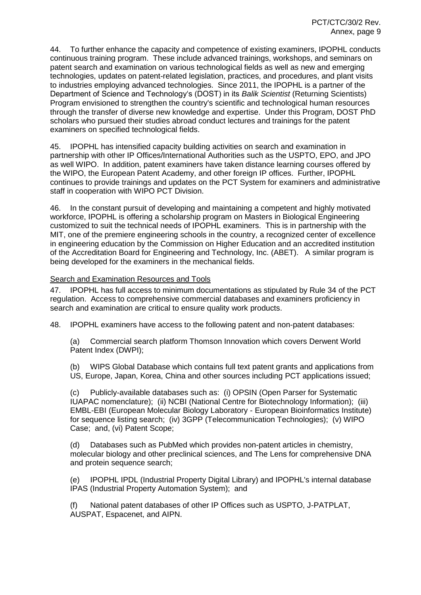44. To further enhance the capacity and competence of existing examiners, IPOPHL conducts continuous training program. These include advanced trainings, workshops, and seminars on patent search and examination on various technological fields as well as new and emerging technologies, updates on patent-related legislation, practices, and procedures, and plant visits to industries employing advanced technologies. Since 2011, the IPOPHL is a partner of the Department of Science and Technology's (DOST) in its *Balik Scientist* (Returning Scientists) Program envisioned to strengthen the country's scientific and technological human resources through the transfer of diverse new knowledge and expertise. Under this Program, DOST PhD scholars who pursued their studies abroad conduct lectures and trainings for the patent examiners on specified technological fields.

45. IPOPHL has intensified capacity building activities on search and examination in partnership with other IP Offices/International Authorities such as the USPTO, EPO, and JPO as well WIPO. In addition, patent examiners have taken distance learning courses offered by the WIPO, the European Patent Academy, and other foreign IP offices. Further, IPOPHL continues to provide trainings and updates on the PCT System for examiners and administrative staff in cooperation with WIPO PCT Division.

46. In the constant pursuit of developing and maintaining a competent and highly motivated workforce, IPOPHL is offering a scholarship program on Masters in Biological Engineering customized to suit the technical needs of IPOPHL examiners. This is in partnership with the MIT, one of the premiere engineering schools in the country, a recognized center of excellence in engineering education by the Commission on Higher Education and an accredited institution of the Accreditation Board for Engineering and Technology, Inc. (ABET). A similar program is being developed for the examiners in the mechanical fields.

#### Search and Examination Resources and Tools

47. IPOPHL has full access to minimum documentations as stipulated by Rule 34 of the PCT regulation. Access to comprehensive commercial databases and examiners proficiency in search and examination are critical to ensure quality work products.

48. IPOPHL examiners have access to the following patent and non-patent databases:

(a) Commercial search platform Thomson Innovation which covers Derwent World Patent Index (DWPI);

(b) WIPS Global Database which contains full text patent grants and applications from US, Europe, Japan, Korea, China and other sources including PCT applications issued;

(c) Publicly-available databases such as: (i) OPSIN (Open Parser for Systematic IUAPAC nomenclature); (ii) NCBI (National Centre for Biotechnology Information); (iii) EMBL-EBI (European Molecular Biology Laboratory - European Bioinformatics Institute) for sequence listing search; (iv) 3GPP (Telecommunication Technologies); (v) WIPO Case; and, (vi) Patent Scope;

(d) Databases such as PubMed which provides non-patent articles in chemistry, molecular biology and other preclinical sciences, and The Lens for comprehensive DNA and protein sequence search;

(e) IPOPHL IPDL (Industrial Property Digital Library) and IPOPHL's internal database IPAS (Industrial Property Automation System); and

(f) National patent databases of other IP Offices such as USPTO, J-PATPLAT, AUSPAT, Espacenet, and AIPN.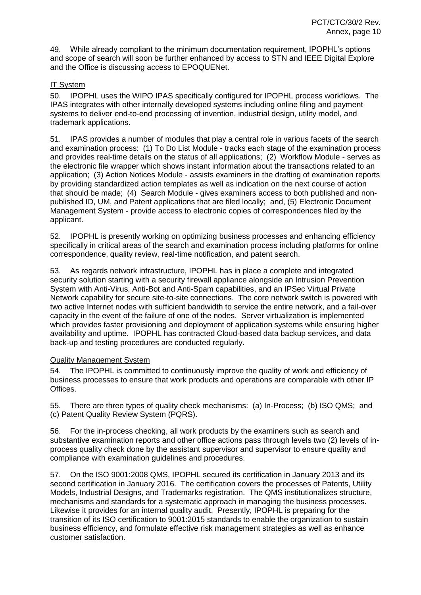49. While already compliant to the minimum documentation requirement, IPOPHL's options and scope of search will soon be further enhanced by access to STN and IEEE Digital Explore and the Office is discussing access to EPOQUENet.

# IT System

50. IPOPHL uses the WIPO IPAS specifically configured for IPOPHL process workflows. The IPAS integrates with other internally developed systems including online filing and payment systems to deliver end-to-end processing of invention, industrial design, utility model, and trademark applications.

51. IPAS provides a number of modules that play a central role in various facets of the search and examination process: (1) To Do List Module - tracks each stage of the examination process and provides real-time details on the status of all applications; (2) Workflow Module - serves as the electronic file wrapper which shows instant information about the transactions related to an application; (3) Action Notices Module - assists examiners in the drafting of examination reports by providing standardized action templates as well as indication on the next course of action that should be made; (4) Search Module - gives examiners access to both published and nonpublished ID, UM, and Patent applications that are filed locally; and, (5) Electronic Document Management System - provide access to electronic copies of correspondences filed by the applicant.

52. IPOPHL is presently working on optimizing business processes and enhancing efficiency specifically in critical areas of the search and examination process including platforms for online correspondence, quality review, real-time notification, and patent search.

53. As regards network infrastructure, IPOPHL has in place a complete and integrated security solution starting with a security firewall appliance alongside an Intrusion Prevention System with Anti-Virus, Anti-Bot and Anti-Spam capabilities, and an IPSec Virtual Private Network capability for secure site-to-site connections. The core network switch is powered with two active Internet nodes with sufficient bandwidth to service the entire network, and a fail-over capacity in the event of the failure of one of the nodes. Server virtualization is implemented which provides faster provisioning and deployment of application systems while ensuring higher availability and uptime. IPOPHL has contracted Cloud-based data backup services, and data back-up and testing procedures are conducted regularly.

#### Quality Management System

54. The IPOPHL is committed to continuously improve the quality of work and efficiency of business processes to ensure that work products and operations are comparable with other IP Offices.

55. There are three types of quality check mechanisms: (a) In-Process; (b) ISO QMS; and (c) Patent Quality Review System (PQRS).

56. For the in-process checking, all work products by the examiners such as search and substantive examination reports and other office actions pass through levels two (2) levels of inprocess quality check done by the assistant supervisor and supervisor to ensure quality and compliance with examination guidelines and procedures.

57. On the ISO 9001:2008 QMS, IPOPHL secured its certification in January 2013 and its second certification in January 2016. The certification covers the processes of Patents, Utility Models, Industrial Designs, and Trademarks registration. The QMS institutionalizes structure, mechanisms and standards for a systematic approach in managing the business processes. Likewise it provides for an internal quality audit. Presently, IPOPHL is preparing for the transition of its ISO certification to 9001:2015 standards to enable the organization to sustain business efficiency, and formulate effective risk management strategies as well as enhance customer satisfaction.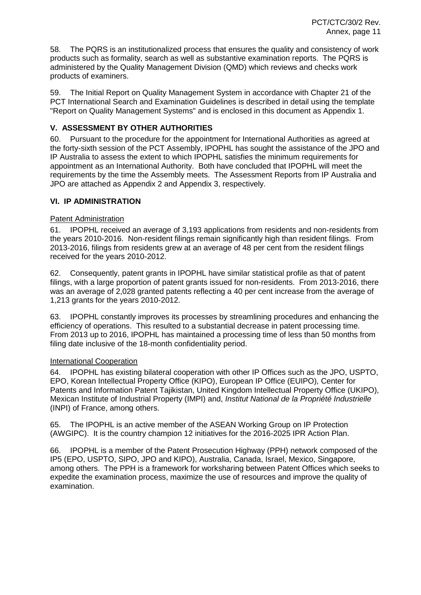58. The PQRS is an institutionalized process that ensures the quality and consistency of work products such as formality, search as well as substantive examination reports. The PQRS is administered by the Quality Management Division (QMD) which reviews and checks work products of examiners.

59. The Initial Report on Quality Management System in accordance with Chapter 21 of the PCT International Search and Examination Guidelines is described in detail using the template "Report on Quality Management Systems" and is enclosed in this document as Appendix 1.

# **V. ASSESSMENT BY OTHER AUTHORITIES**

60. Pursuant to the procedure for the appointment for International Authorities as agreed at the forty-sixth session of the PCT Assembly, IPOPHL has sought the assistance of the JPO and IP Australia to assess the extent to which IPOPHL satisfies the minimum requirements for appointment as an International Authority. Both have concluded that IPOPHL will meet the requirements by the time the Assembly meets. The Assessment Reports from IP Australia and JPO are attached as Appendix 2 and Appendix 3, respectively.

#### **VI. IP ADMINISTRATION**

#### Patent Administration

61. IPOPHL received an average of 3,193 applications from residents and non-residents from the years 2010-2016. Non-resident filings remain significantly high than resident filings. From 2013-2016, filings from residents grew at an average of 48 per cent from the resident filings received for the years 2010-2012.

62. Consequently, patent grants in IPOPHL have similar statistical profile as that of patent filings, with a large proportion of patent grants issued for non-residents. From 2013-2016, there was an average of 2,028 granted patents reflecting a 40 per cent increase from the average of 1,213 grants for the years 2010-2012.

63. IPOPHL constantly improves its processes by streamlining procedures and enhancing the efficiency of operations. This resulted to a substantial decrease in patent processing time. From 2013 up to 2016, IPOPHL has maintained a processing time of less than 50 months from filing date inclusive of the 18-month confidentiality period.

#### International Cooperation

64. IPOPHL has existing bilateral cooperation with other IP Offices such as the JPO, USPTO, EPO, Korean Intellectual Property Office (KIPO), European IP Office (EUIPO), Center for Patents and Information Patent Tajikistan, United Kingdom Intellectual Property Office (UKIPO), Mexican Institute of Industrial Property (IMPI) and, *Institut National de la Propriété Industrielle* (INPI) of France, among others.

65. The IPOPHL is an active member of the ASEAN Working Group on IP Protection (AWGIPC). It is the country champion 12 initiatives for the 2016-2025 IPR Action Plan.

66. IPOPHL is a member of the Patent Prosecution Highway (PPH) network composed of the IP5 (EPO, USPTO, SIPO, JPO and KIPO), Australia, Canada, Israel, Mexico, Singapore, among others. The PPH is a framework for worksharing between Patent Offices which seeks to expedite the examination process, maximize the use of resources and improve the quality of examination.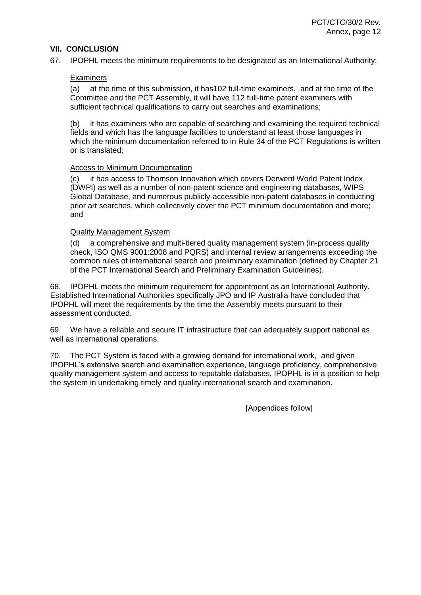#### **VII. CONCLUSION**

67. IPOPHL meets the minimum requirements to be designated as an International Authority:

#### **Examiners**

(a) at the time of this submission, it has102 full-time examiners, and at the time of the Committee and the PCT Assembly, it will have 112 full-time patent examiners with sufficient technical qualifications to carry out searches and examinations;

(b) it has examiners who are capable of searching and examining the required technical fields and which has the language facilities to understand at least those languages in which the minimum documentation referred to in Rule 34 of the PCT Regulations is written or is translated;

#### Access to Minimum Documentation

(c) it has access to Thomson Innovation which covers Derwent World Patent Index (DWPI) as well as a number of non-patent science and engineering databases, WIPS Global Database, and numerous publicly-accessible non-patent databases in conducting prior art searches, which collectively cover the PCT minimum documentation and more; and

#### Quality Management System

(d) a comprehensive and multi-tiered quality management system (in-process quality check, ISO QMS 9001:2008 and PQRS) and internal review arrangements exceeding the common rules of international search and preliminary examination (defined by Chapter 21 of the PCT International Search and Preliminary Examination Guidelines).

68. IPOPHL meets the minimum requirement for appointment as an International Authority. Established International Authorities specifically JPO and IP Australia have concluded that IPOPHL will meet the requirements by the time the Assembly meets pursuant to their assessment conducted.

69. We have a reliable and secure IT infrastructure that can adequately support national as well as international operations.

70. The PCT System is faced with a growing demand for international work, and given IPOPHL's extensive search and examination experience, language proficiency, comprehensive quality management system and access to reputable databases, IPOPHL is in a position to help the system in undertaking timely and quality international search and examination.

[Appendices follow]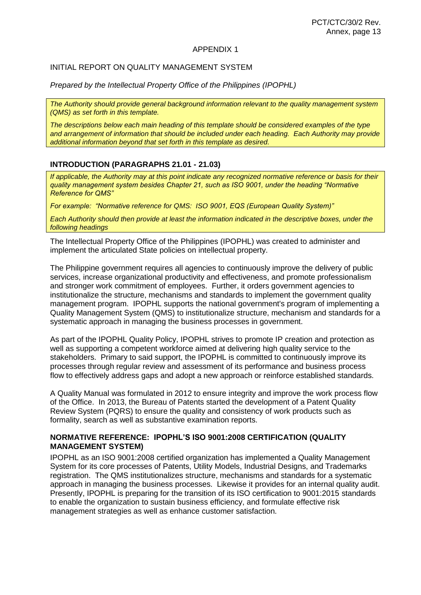#### APPENDIX 1

# INITIAL REPORT ON QUALITY MANAGEMENT SYSTEM

*Prepared by the Intellectual Property Office of the Philippines (IPOPHL)*

*The Authority should provide general background information relevant to the quality management system (QMS) as set forth in this template.*

*The descriptions below each main heading of this template should be considered examples of the type and arrangement of information that should be included under each heading. Each Authority may provide additional information beyond that set forth in this template as desired.*

#### **INTRODUCTION (PARAGRAPHS 21.01 - 21.03)**

*If applicable, the Authority may at this point indicate any recognized normative reference or basis for their quality management system besides Chapter 21, such as ISO 9001, under the heading "Normative Reference for QMS"*

*For example: "Normative reference for QMS: ISO 9001, EQS (European Quality System)"*

*Each Authority should then provide at least the information indicated in the descriptive boxes, under the following headings*

The Intellectual Property Office of the Philippines (IPOPHL) was created to administer and implement the articulated State policies on intellectual property.

The Philippine government requires all agencies to continuously improve the delivery of public services, increase organizational productivity and effectiveness, and promote professionalism and stronger work commitment of employees. Further, it orders government agencies to institutionalize the structure, mechanisms and standards to implement the government quality management program. IPOPHL supports the national government's program of implementing a Quality Management System (QMS) to institutionalize structure, mechanism and standards for a systematic approach in managing the business processes in government.

As part of the IPOPHL Quality Policy, IPOPHL strives to promote IP creation and protection as well as supporting a competent workforce aimed at delivering high quality service to the stakeholders. Primary to said support, the IPOPHL is committed to continuously improve its processes through regular review and assessment of its performance and business process flow to effectively address gaps and adopt a new approach or reinforce established standards.

A Quality Manual was formulated in 2012 to ensure integrity and improve the work process flow of the Office. In 2013, the Bureau of Patents started the development of a Patent Quality Review System (PQRS) to ensure the quality and consistency of work products such as formality, search as well as substantive examination reports.

## **NORMATIVE REFERENCE: IPOPHL'S ISO 9001:2008 CERTIFICATION (QUALITY MANAGEMENT SYSTEM)**

IPOPHL as an ISO 9001:2008 certified organization has implemented a Quality Management System for its core processes of Patents, Utility Models, Industrial Designs, and Trademarks registration. The QMS institutionalizes structure, mechanisms and standards for a systematic approach in managing the business processes. Likewise it provides for an internal quality audit. Presently, IPOPHL is preparing for the transition of its ISO certification to 9001:2015 standards to enable the organization to sustain business efficiency, and formulate effective risk management strategies as well as enhance customer satisfaction.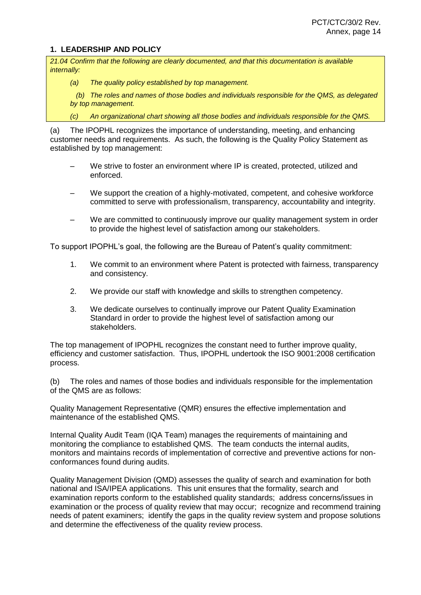#### **1. LEADERSHIP AND POLICY**

*21.04 Confirm that the following are clearly documented, and that this documentation is available internally:*

*(a) The quality policy established by top management.*

 *(b) The roles and names of those bodies and individuals responsible for the QMS, as delegated by top management.*

*(c) An organizational chart showing all those bodies and individuals responsible for the QMS.*

(a) The IPOPHL recognizes the importance of understanding, meeting, and enhancing customer needs and requirements. As such, the following is the Quality Policy Statement as established by top management:

- We strive to foster an environment where IP is created, protected, utilized and enforced.
- We support the creation of a highly-motivated, competent, and cohesive workforce committed to serve with professionalism, transparency, accountability and integrity.
- We are committed to continuously improve our quality management system in order to provide the highest level of satisfaction among our stakeholders.

To support IPOPHL's goal, the following are the Bureau of Patent's quality commitment:

- 1. We commit to an environment where Patent is protected with fairness, transparency and consistency.
- 2. We provide our staff with knowledge and skills to strengthen competency.
- 3. We dedicate ourselves to continually improve our Patent Quality Examination Standard in order to provide the highest level of satisfaction among our stakeholders.

The top management of IPOPHL recognizes the constant need to further improve quality, efficiency and customer satisfaction. Thus, IPOPHL undertook the ISO 9001:2008 certification process.

(b) The roles and names of those bodies and individuals responsible for the implementation of the QMS are as follows:

Quality Management Representative (QMR) ensures the effective implementation and maintenance of the established QMS.

Internal Quality Audit Team (IQA Team) manages the requirements of maintaining and monitoring the compliance to established QMS. The team conducts the internal audits, monitors and maintains records of implementation of corrective and preventive actions for nonconformances found during audits.

Quality Management Division (QMD) assesses the quality of search and examination for both national and ISA/IPEA applications. This unit ensures that the formality, search and examination reports conform to the established quality standards; address concerns/issues in examination or the process of quality review that may occur; recognize and recommend training needs of patent examiners; identify the gaps in the quality review system and propose solutions and determine the effectiveness of the quality review process.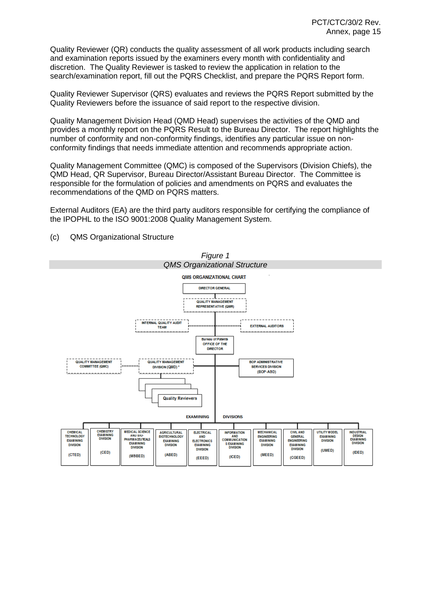Quality Reviewer (QR) conducts the quality assessment of all work products including search and examination reports issued by the examiners every month with confidentiality and discretion. The Quality Reviewer is tasked to review the application in relation to the search/examination report, fill out the PQRS Checklist, and prepare the PQRS Report form.

Quality Reviewer Supervisor (QRS) evaluates and reviews the PQRS Report submitted by the Quality Reviewers before the issuance of said report to the respective division.

Quality Management Division Head (QMD Head) supervises the activities of the QMD and provides a monthly report on the PQRS Result to the Bureau Director. The report highlights the number of conformity and non-conformity findings, identifies any particular issue on nonconformity findings that needs immediate attention and recommends appropriate action.

Quality Management Committee (QMC) is composed of the Supervisors (Division Chiefs), the QMD Head, QR Supervisor, Bureau Director/Assistant Bureau Director. The Committee is responsible for the formulation of policies and amendments on PQRS and evaluates the recommendations of the QMD on PQRS matters.

External Auditors (EA) are the third party auditors responsible for certifying the compliance of the IPOPHL to the ISO 9001:2008 Quality Management System.



(c) QMS Organizational Structure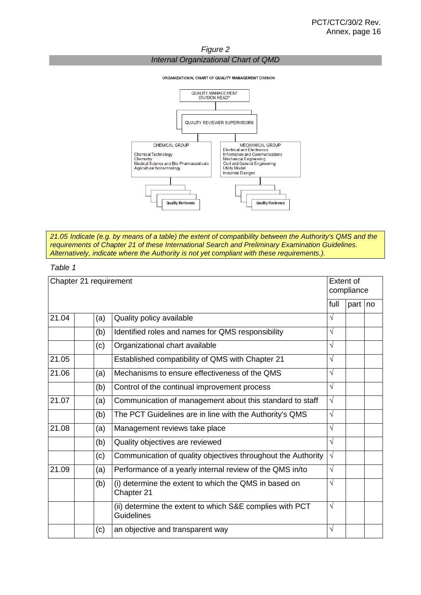*Figure 2 Internal Organizational Chart of QMD*

ORGANIZATIONAL CHART OF QUALITY MANAGEMENT DIVISION



*21.05 Indicate (e.g. by means of a table) the extent of compatibility between the Authority's QMS and the requirements of Chapter 21 of these International Search and Preliminary Examination Guidelines. Alternatively, indicate where the Authority is not yet compliant with these requirements.).*

*Table 1*

|       |     |                                                                                                                                                                                                                                                                                                                                                                                                                                                                                                                                                                                                                                                                                                                                                                                                                                                                                                             | Extent of<br>compliance |           |  |  |
|-------|-----|-------------------------------------------------------------------------------------------------------------------------------------------------------------------------------------------------------------------------------------------------------------------------------------------------------------------------------------------------------------------------------------------------------------------------------------------------------------------------------------------------------------------------------------------------------------------------------------------------------------------------------------------------------------------------------------------------------------------------------------------------------------------------------------------------------------------------------------------------------------------------------------------------------------|-------------------------|-----------|--|--|
|       |     |                                                                                                                                                                                                                                                                                                                                                                                                                                                                                                                                                                                                                                                                                                                                                                                                                                                                                                             | full                    | part   no |  |  |
| 21.04 | (a) | Chapter 21 requirement<br>Quality policy available<br>V<br>Identified roles and names for QMS responsibility<br>V<br>Organizational chart available<br>V<br>$\sqrt{}$<br>Established compatibility of QMS with Chapter 21<br>V<br>Mechanisms to ensure effectiveness of the QMS<br>$\sqrt{}$<br>Control of the continual improvement process<br>$\sqrt{}$<br>Communication of management about this standard to staff<br>$\sqrt{}$<br>The PCT Guidelines are in line with the Authority's QMS<br>V<br>Management reviews take place<br>$\sqrt{}$<br>Quality objectives are reviewed<br>$\sqrt{}$<br>Communication of quality objectives throughout the Authority<br>√<br>Performance of a yearly internal review of the QMS in/to<br>(i) determine the extent to which the QMS in based on<br>V<br>Chapter 21<br>$\sqrt{}$<br>(ii) determine the extent to which S&E complies with PCT<br><b>Guidelines</b> |                         |           |  |  |
|       | (b) |                                                                                                                                                                                                                                                                                                                                                                                                                                                                                                                                                                                                                                                                                                                                                                                                                                                                                                             |                         |           |  |  |
|       | (c) |                                                                                                                                                                                                                                                                                                                                                                                                                                                                                                                                                                                                                                                                                                                                                                                                                                                                                                             |                         |           |  |  |
| 21.05 |     |                                                                                                                                                                                                                                                                                                                                                                                                                                                                                                                                                                                                                                                                                                                                                                                                                                                                                                             |                         |           |  |  |
| 21.06 | (a) |                                                                                                                                                                                                                                                                                                                                                                                                                                                                                                                                                                                                                                                                                                                                                                                                                                                                                                             |                         |           |  |  |
|       | (b) |                                                                                                                                                                                                                                                                                                                                                                                                                                                                                                                                                                                                                                                                                                                                                                                                                                                                                                             |                         |           |  |  |
| 21.07 | (a) |                                                                                                                                                                                                                                                                                                                                                                                                                                                                                                                                                                                                                                                                                                                                                                                                                                                                                                             |                         |           |  |  |
|       | (b) |                                                                                                                                                                                                                                                                                                                                                                                                                                                                                                                                                                                                                                                                                                                                                                                                                                                                                                             |                         |           |  |  |
| 21.08 | (a) |                                                                                                                                                                                                                                                                                                                                                                                                                                                                                                                                                                                                                                                                                                                                                                                                                                                                                                             |                         |           |  |  |
|       | (b) |                                                                                                                                                                                                                                                                                                                                                                                                                                                                                                                                                                                                                                                                                                                                                                                                                                                                                                             |                         |           |  |  |
|       | (c) |                                                                                                                                                                                                                                                                                                                                                                                                                                                                                                                                                                                                                                                                                                                                                                                                                                                                                                             |                         |           |  |  |
| 21.09 | (a) |                                                                                                                                                                                                                                                                                                                                                                                                                                                                                                                                                                                                                                                                                                                                                                                                                                                                                                             |                         |           |  |  |
|       | (b) |                                                                                                                                                                                                                                                                                                                                                                                                                                                                                                                                                                                                                                                                                                                                                                                                                                                                                                             |                         |           |  |  |
|       |     |                                                                                                                                                                                                                                                                                                                                                                                                                                                                                                                                                                                                                                                                                                                                                                                                                                                                                                             |                         |           |  |  |
|       | (c) | an objective and transparent way                                                                                                                                                                                                                                                                                                                                                                                                                                                                                                                                                                                                                                                                                                                                                                                                                                                                            | V                       |           |  |  |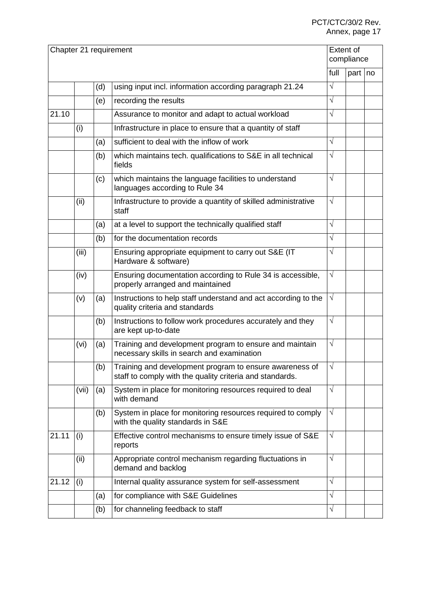# PCT/CTC/30/2 Rev. Annex, page 17

|       |       |     | Chapter 21 requirement                                                                                              |            | Extent of<br>compliance |  |
|-------|-------|-----|---------------------------------------------------------------------------------------------------------------------|------------|-------------------------|--|
|       |       |     |                                                                                                                     | full       | part   no               |  |
|       |       | (d) | using input incl. information according paragraph 21.24                                                             | $\sqrt{ }$ |                         |  |
|       |       | (e) | recording the results                                                                                               | $\sqrt{ }$ |                         |  |
| 21.10 |       |     | Assurance to monitor and adapt to actual workload                                                                   | $\sqrt{ }$ |                         |  |
|       | (i)   |     | Infrastructure in place to ensure that a quantity of staff                                                          |            |                         |  |
|       |       | (a) | sufficient to deal with the inflow of work                                                                          | $\sqrt{}$  |                         |  |
|       |       | (b) | which maintains tech. qualifications to S&E in all technical<br>fields                                              | $\sqrt{ }$ |                         |  |
|       |       | (c) | which maintains the language facilities to understand<br>languages according to Rule 34                             | $\sqrt{ }$ |                         |  |
|       | (ii)  |     | Infrastructure to provide a quantity of skilled administrative<br>staff                                             | $\sqrt{ }$ |                         |  |
|       |       | (a) | at a level to support the technically qualified staff                                                               | $\sqrt{ }$ |                         |  |
|       |       | (b) | for the documentation records                                                                                       | $\sqrt{ }$ |                         |  |
|       | (iii) |     | Ensuring appropriate equipment to carry out S&E (IT<br>Hardware & software)                                         | $\sqrt{}$  |                         |  |
|       | (iv)  |     | Ensuring documentation according to Rule 34 is accessible,<br>properly arranged and maintained                      | $\sqrt{ }$ |                         |  |
|       | (v)   | (a) | Instructions to help staff understand and act according to the<br>quality criteria and standards                    | $\sqrt{ }$ |                         |  |
|       |       | (b) | Instructions to follow work procedures accurately and they<br>are kept up-to-date                                   | $\sqrt{ }$ |                         |  |
|       | (vi)  | (a) | Training and development program to ensure and maintain<br>necessary skills in search and examination               | $\sqrt{}$  |                         |  |
|       |       | (b) | Training and development program to ensure awareness of<br>staff to comply with the quality criteria and standards. | $\sqrt{ }$ |                         |  |
|       | (vii) | (a) | System in place for monitoring resources required to deal<br>with demand                                            | $\sqrt{ }$ |                         |  |
|       |       | (b) | System in place for monitoring resources required to comply<br>with the quality standards in S&E                    | $\sqrt{ }$ |                         |  |
| 21.11 | (i)   |     | Effective control mechanisms to ensure timely issue of S&E<br>reports                                               | $\sqrt{ }$ |                         |  |
|       | (ii)  |     | Appropriate control mechanism regarding fluctuations in<br>demand and backlog                                       | $\sqrt{ }$ |                         |  |
| 21.12 | (i)   |     | Internal quality assurance system for self-assessment                                                               | $\sqrt{}$  |                         |  |
|       |       | (a) | for compliance with S&E Guidelines                                                                                  | $\sqrt{}$  |                         |  |
|       |       | (b) | for channeling feedback to staff                                                                                    | $\sqrt{ }$ |                         |  |
|       |       |     |                                                                                                                     |            |                         |  |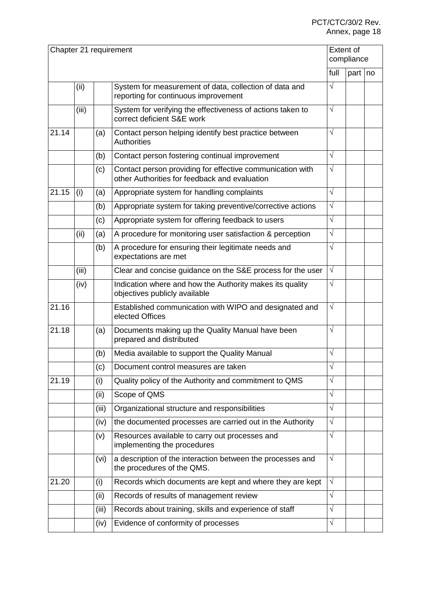|       |       |       | Chapter 21 requirement                                                                                     |            | Extent of<br>compliance |  |
|-------|-------|-------|------------------------------------------------------------------------------------------------------------|------------|-------------------------|--|
|       |       |       |                                                                                                            | full       | part   no               |  |
|       | (ii)  |       | System for measurement of data, collection of data and<br>reporting for continuous improvement             | $\sqrt{ }$ |                         |  |
|       | (iii) |       | System for verifying the effectiveness of actions taken to<br>correct deficient S&E work                   | $\sqrt{ }$ |                         |  |
| 21.14 |       | (a)   | Contact person helping identify best practice between<br><b>Authorities</b>                                | $\sqrt{ }$ |                         |  |
|       |       | (b)   | Contact person fostering continual improvement                                                             | $\sqrt{ }$ |                         |  |
|       |       | (c)   | Contact person providing for effective communication with<br>other Authorities for feedback and evaluation | $\sqrt{ }$ |                         |  |
| 21.15 | (i)   | (a)   | Appropriate system for handling complaints                                                                 | $\sqrt{ }$ |                         |  |
|       |       | (b)   | Appropriate system for taking preventive/corrective actions                                                | $\sqrt{ }$ |                         |  |
|       |       | (c)   | Appropriate system for offering feedback to users                                                          | $\sqrt{}$  |                         |  |
|       | (ii)  | (a)   | A procedure for monitoring user satisfaction & perception                                                  | $\sqrt{ }$ |                         |  |
|       |       | (b)   | A procedure for ensuring their legitimate needs and<br>expectations are met                                | $\sqrt{}$  |                         |  |
|       | (iii) |       | Clear and concise guidance on the S&E process for the user                                                 | $\sqrt{}$  |                         |  |
|       | (iv)  |       | Indication where and how the Authority makes its quality<br>objectives publicly available                  | $\sqrt{ }$ |                         |  |
| 21.16 |       |       | Established communication with WIPO and designated and<br>elected Offices                                  | $\sqrt{ }$ |                         |  |
| 21.18 |       | (a)   | Documents making up the Quality Manual have been<br>prepared and distributed                               | $\sqrt{ }$ |                         |  |
|       |       | (b)   | Media available to support the Quality Manual                                                              | $\sqrt{}$  |                         |  |
|       |       | (c)   | Document control measures are taken                                                                        | $\sqrt{}$  |                         |  |
| 21.19 |       | (i)   | Quality policy of the Authority and commitment to QMS                                                      | $\sqrt{}$  |                         |  |
|       |       | (ii)  | Scope of QMS                                                                                               | $\sqrt{}$  |                         |  |
|       |       | (iii) | Organizational structure and responsibilities                                                              | $\sqrt{ }$ |                         |  |
|       |       | (iv)  | the documented processes are carried out in the Authority                                                  | $\sqrt{ }$ |                         |  |
|       |       | (v)   | Resources available to carry out processes and<br>implementing the procedures                              | $\sqrt{ }$ |                         |  |
|       |       | (vi)  | a description of the interaction between the processes and<br>the procedures of the QMS.                   | $\sqrt{ }$ |                         |  |
| 21.20 |       | (i)   | Records which documents are kept and where they are kept                                                   | $\sqrt{ }$ |                         |  |
|       |       | (ii)  | Records of results of management review                                                                    | $\sqrt{ }$ |                         |  |
|       |       | (iii) | Records about training, skills and experience of staff                                                     | $\sqrt{ }$ |                         |  |
|       |       | (iv)  | Evidence of conformity of processes                                                                        | $\sqrt{}$  |                         |  |
|       |       |       |                                                                                                            |            |                         |  |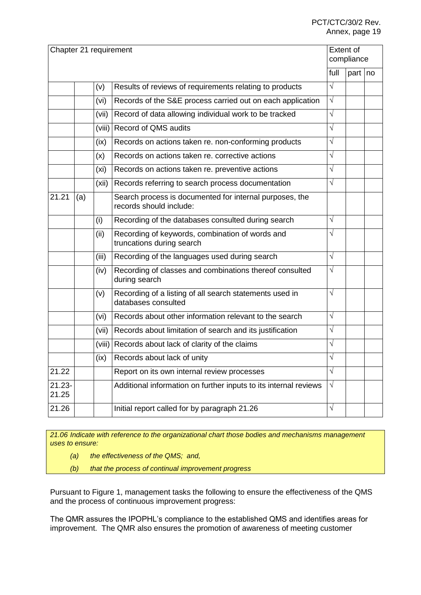#### PCT/CTC/30/2 Rev. Annex, page 19

| Chapter 21 requirement |     |        |                                                                                    |            | Extent of<br>compliance |  |
|------------------------|-----|--------|------------------------------------------------------------------------------------|------------|-------------------------|--|
|                        |     |        |                                                                                    | full       | part no                 |  |
|                        |     | (v)    | Results of reviews of requirements relating to products                            | $\sqrt{}$  |                         |  |
|                        |     | (vi)   | Records of the S&E process carried out on each application                         | $\sqrt{}$  |                         |  |
|                        |     | (vii)  | Record of data allowing individual work to be tracked                              | $\sqrt{}$  |                         |  |
|                        |     | (viii) | <b>Record of QMS audits</b>                                                        | $\sqrt{}$  |                         |  |
|                        |     | (ix)   | Records on actions taken re. non-conforming products                               | $\sqrt{}$  |                         |  |
|                        |     | (x)    | Records on actions taken re. corrective actions                                    | $\sqrt{}$  |                         |  |
|                        |     | (xi)   | Records on actions taken re. preventive actions                                    | $\sqrt{}$  |                         |  |
|                        |     | (xii)  | Records referring to search process documentation                                  | $\sqrt{}$  |                         |  |
| 21.21                  | (a) |        | Search process is documented for internal purposes, the<br>records should include: |            |                         |  |
|                        |     | (i)    | Recording of the databases consulted during search                                 | $\sqrt{}$  |                         |  |
|                        |     | (ii)   | Recording of keywords, combination of words and<br>truncations during search       | $\sqrt{}$  |                         |  |
|                        |     | (iii)  | Recording of the languages used during search                                      | $\sqrt{ }$ |                         |  |
|                        |     | (iv)   | Recording of classes and combinations thereof consulted<br>during search           | $\sqrt{}$  |                         |  |
|                        |     | (v)    | Recording of a listing of all search statements used in<br>databases consulted     | $\sqrt{}$  |                         |  |
|                        |     | (vi)   | Records about other information relevant to the search                             | $\sqrt{}$  |                         |  |
|                        |     | (vii)  | Records about limitation of search and its justification                           | $\sqrt{}$  |                         |  |
|                        |     | (viii) | Records about lack of clarity of the claims                                        | $\sqrt{}$  |                         |  |
|                        |     | (ix)   | Records about lack of unity                                                        |            |                         |  |
| 21.22                  |     |        | Report on its own internal review processes                                        | $\sqrt{}$  |                         |  |
| $21.23 -$<br>21.25     |     |        | Additional information on further inputs to its internal reviews                   | $\sqrt{ }$ |                         |  |
| 21.26                  |     |        | Initial report called for by paragraph 21.26                                       | $\sqrt{}$  |                         |  |
|                        |     |        |                                                                                    |            |                         |  |

*21.06 Indicate with reference to the organizational chart those bodies and mechanisms management uses to ensure:*

- *(a) the effectiveness of the QMS; and,*
- *(b) that the process of continual improvement progress*

Pursuant to Figure 1, management tasks the following to ensure the effectiveness of the QMS and the process of continuous improvement progress:

The QMR assures the IPOPHL's compliance to the established QMS and identifies areas for improvement. The QMR also ensures the promotion of awareness of meeting customer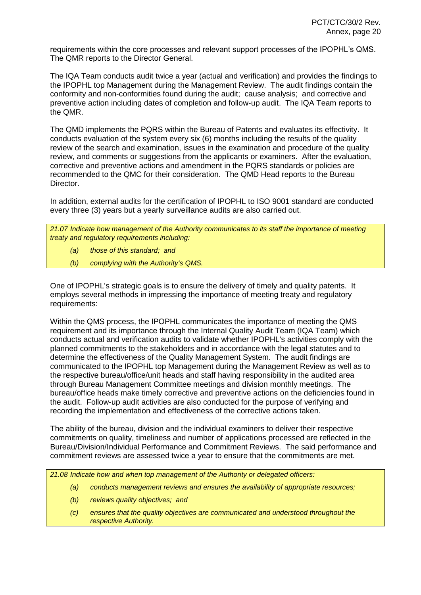requirements within the core processes and relevant support processes of the IPOPHL's QMS. The QMR reports to the Director General.

The IQA Team conducts audit twice a year (actual and verification) and provides the findings to the IPOPHL top Management during the Management Review. The audit findings contain the conformity and non-conformities found during the audit; cause analysis; and corrective and preventive action including dates of completion and follow-up audit. The IQA Team reports to the QMR.

The QMD implements the PQRS within the Bureau of Patents and evaluates its effectivity. It conducts evaluation of the system every six (6) months including the results of the quality review of the search and examination, issues in the examination and procedure of the quality review, and comments or suggestions from the applicants or examiners. After the evaluation, corrective and preventive actions and amendment in the PQRS standards or policies are recommended to the QMC for their consideration. The QMD Head reports to the Bureau Director.

In addition, external audits for the certification of IPOPHL to ISO 9001 standard are conducted every three (3) years but a yearly surveillance audits are also carried out.

*21.07 Indicate how management of the Authority communicates to its staff the importance of meeting treaty and regulatory requirements including:*

- *(a) those of this standard; and*
- *(b) complying with the Authority's QMS.*

One of IPOPHL's strategic goals is to ensure the delivery of timely and quality patents. It employs several methods in impressing the importance of meeting treaty and regulatory requirements:

Within the QMS process, the IPOPHL communicates the importance of meeting the QMS requirement and its importance through the Internal Quality Audit Team (IQA Team) which conducts actual and verification audits to validate whether IPOPHL's activities comply with the planned commitments to the stakeholders and in accordance with the legal statutes and to determine the effectiveness of the Quality Management System. The audit findings are communicated to the IPOPHL top Management during the Management Review as well as to the respective bureau/office/unit heads and staff having responsibility in the audited area through Bureau Management Committee meetings and division monthly meetings. The bureau/office heads make timely corrective and preventive actions on the deficiencies found in the audit. Follow-up audit activities are also conducted for the purpose of verifying and recording the implementation and effectiveness of the corrective actions taken.

The ability of the bureau, division and the individual examiners to deliver their respective commitments on quality, timeliness and number of applications processed are reflected in the Bureau/Division/Individual Performance and Commitment Reviews. The said performance and commitment reviews are assessed twice a year to ensure that the commitments are met.

*21.08 Indicate how and when top management of the Authority or delegated officers:*

- *(a) conducts management reviews and ensures the availability of appropriate resources;*
- *(b) reviews quality objectives; and*
- *(c) ensures that the quality objectives are communicated and understood throughout the respective Authority.*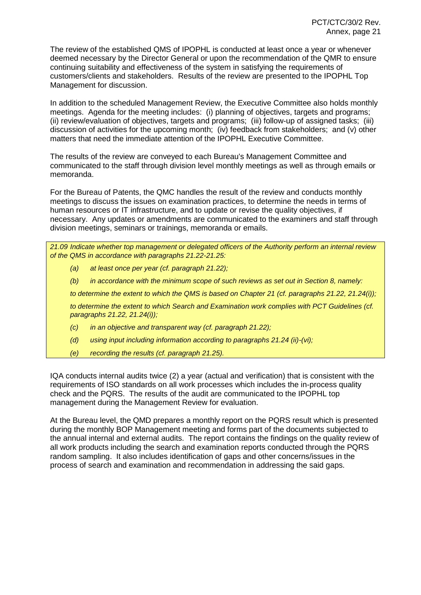The review of the established QMS of IPOPHL is conducted at least once a year or whenever deemed necessary by the Director General or upon the recommendation of the QMR to ensure continuing suitability and effectiveness of the system in satisfying the requirements of customers/clients and stakeholders. Results of the review are presented to the IPOPHL Top Management for discussion.

In addition to the scheduled Management Review, the Executive Committee also holds monthly meetings. Agenda for the meeting includes: (i) planning of objectives, targets and programs; (ii) review/evaluation of objectives, targets and programs; (iii) follow-up of assigned tasks; (iii) discussion of activities for the upcoming month; (iv) feedback from stakeholders; and (v) other matters that need the immediate attention of the IPOPHL Executive Committee.

The results of the review are conveyed to each Bureau's Management Committee and communicated to the staff through division level monthly meetings as well as through emails or memoranda.

For the Bureau of Patents, the QMC handles the result of the review and conducts monthly meetings to discuss the issues on examination practices, to determine the needs in terms of human resources or IT infrastructure, and to update or revise the quality objectives, if necessary. Any updates or amendments are communicated to the examiners and staff through division meetings, seminars or trainings, memoranda or emails.

*21.09 Indicate whether top management or delegated officers of the Authority perform an internal review of the QMS in accordance with paragraphs 21.22-21.25:*

- *(a) at least once per year (cf. paragraph 21.22);*
- *(b) in accordance with the minimum scope of such reviews as set out in Section 8, namely:*

*to determine the extent to which the QMS is based on Chapter 21 (cf. paragraphs 21.22, 21.24(i));*

*to determine the extent to which Search and Examination work complies with PCT Guidelines (cf. paragraphs 21.22, 21.24(i));*

- *(c) in an objective and transparent way (cf. paragraph 21.22);*
- *(d) using input including information according to paragraphs 21.24 (ii)-(vi);*
- *(e) recording the results (cf. paragraph 21.25).*

IQA conducts internal audits twice (2) a year (actual and verification) that is consistent with the requirements of ISO standards on all work processes which includes the in-process quality check and the PQRS. The results of the audit are communicated to the IPOPHL top management during the Management Review for evaluation.

At the Bureau level, the QMD prepares a monthly report on the PQRS result which is presented during the monthly BOP Management meeting and forms part of the documents subjected to the annual internal and external audits. The report contains the findings on the quality review of all work products including the search and examination reports conducted through the PQRS random sampling. It also includes identification of gaps and other concerns/issues in the process of search and examination and recommendation in addressing the said gaps.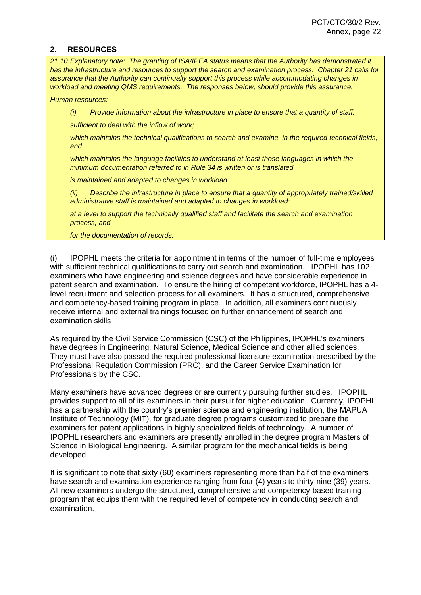#### **2. RESOURCES**

*21.10 Explanatory note: The granting of ISA/IPEA status means that the Authority has demonstrated it has the infrastructure and resources to support the search and examination process. Chapter 21 calls for assurance that the Authority can continually support this process while accommodating changes in workload and meeting QMS requirements. The responses below, should provide this assurance.*

*Human resources:*

*(i) Provide information about the infrastructure in place to ensure that a quantity of staff:*

*sufficient to deal with the inflow of work;*

*which maintains the technical qualifications to search and examine in the required technical fields; and*

*which maintains the language facilities to understand at least those languages in which the minimum documentation referred to in Rule 34 is written or is translated*

*is maintained and adapted to changes in workload.*

*(ii) Describe the infrastructure in place to ensure that a quantity of appropriately trained/skilled administrative staff is maintained and adapted to changes in workload:*

*at a level to support the technically qualified staff and facilitate the search and examination process, and*

*for the documentation of records.*

(i) IPOPHL meets the criteria for appointment in terms of the number of full-time employees with sufficient technical qualifications to carry out search and examination. IPOPHL has 102 examiners who have engineering and science degrees and have considerable experience in patent search and examination. To ensure the hiring of competent workforce, IPOPHL has a 4 level recruitment and selection process for all examiners. It has a structured, comprehensive and competency-based training program in place. In addition, all examiners continuously receive internal and external trainings focused on further enhancement of search and examination skills

As required by the Civil Service Commission (CSC) of the Philippines, IPOPHL's examiners have degrees in Engineering, Natural Science, Medical Science and other allied sciences. They must have also passed the required professional licensure examination prescribed by the Professional Regulation Commission (PRC), and the Career Service Examination for Professionals by the CSC.

Many examiners have advanced degrees or are currently pursuing further studies. IPOPHL provides support to all of its examiners in their pursuit for higher education. Currently, IPOPHL has a partnership with the country's premier science and engineering institution, the MAPUA Institute of Technology (MIT), for graduate degree programs customized to prepare the examiners for patent applications in highly specialized fields of technology. A number of IPOPHL researchers and examiners are presently enrolled in the degree program Masters of Science in Biological Engineering. A similar program for the mechanical fields is being developed.

It is significant to note that sixty (60) examiners representing more than half of the examiners have search and examination experience ranging from four (4) years to thirty-nine (39) years. All new examiners undergo the structured, comprehensive and competency-based training program that equips them with the required level of competency in conducting search and examination.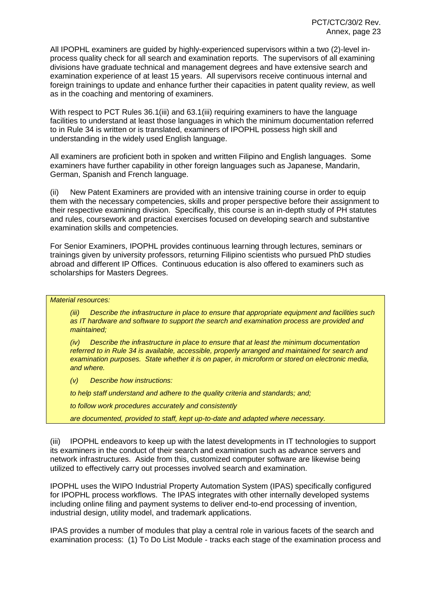All IPOPHL examiners are guided by highly-experienced supervisors within a two (2)-level inprocess quality check for all search and examination reports. The supervisors of all examining divisions have graduate technical and management degrees and have extensive search and examination experience of at least 15 years. All supervisors receive continuous internal and foreign trainings to update and enhance further their capacities in patent quality review, as well as in the coaching and mentoring of examiners.

With respect to PCT Rules 36.1(iii) and 63.1(iii) requiring examiners to have the language facilities to understand at least those languages in which the minimum documentation referred to in Rule 34 is written or is translated, examiners of IPOPHL possess high skill and understanding in the widely used English language.

All examiners are proficient both in spoken and written Filipino and English languages. Some examiners have further capability in other foreign languages such as Japanese, Mandarin, German, Spanish and French language.

(ii) New Patent Examiners are provided with an intensive training course in order to equip them with the necessary competencies, skills and proper perspective before their assignment to their respective examining division. Specifically, this course is an in-depth study of PH statutes and rules, coursework and practical exercises focused on developing search and substantive examination skills and competencies.

For Senior Examiners, IPOPHL provides continuous learning through lectures, seminars or trainings given by university professors, returning Filipino scientists who pursued PhD studies abroad and different IP Offices. Continuous education is also offered to examiners such as scholarships for Masters Degrees.

#### *Material resources:*

*(iii) Describe the infrastructure in place to ensure that appropriate equipment and facilities such as IT hardware and software to support the search and examination process are provided and maintained;*

*(iv) Describe the infrastructure in place to ensure that at least the minimum documentation referred to in Rule 34 is available, accessible, properly arranged and maintained for search and examination purposes. State whether it is on paper, in microform or stored on electronic media, and where.*

*(v) Describe how instructions:*

*to help staff understand and adhere to the quality criteria and standards; and;*

*to follow work procedures accurately and consistently*

*are documented, provided to staff, kept up-to-date and adapted where necessary.*

(iii) IPOPHL endeavors to keep up with the latest developments in IT technologies to support its examiners in the conduct of their search and examination such as advance servers and network infrastructures. Aside from this, customized computer software are likewise being utilized to effectively carry out processes involved search and examination.

IPOPHL uses the WIPO Industrial Property Automation System (IPAS) specifically configured for IPOPHL process workflows. The IPAS integrates with other internally developed systems including online filing and payment systems to deliver end-to-end processing of invention, industrial design, utility model, and trademark applications.

IPAS provides a number of modules that play a central role in various facets of the search and examination process: (1) To Do List Module - tracks each stage of the examination process and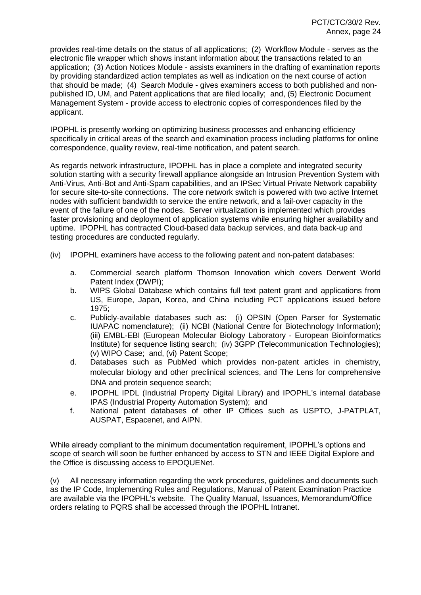provides real-time details on the status of all applications; (2) Workflow Module - serves as the electronic file wrapper which shows instant information about the transactions related to an application; (3) Action Notices Module - assists examiners in the drafting of examination reports by providing standardized action templates as well as indication on the next course of action that should be made; (4) Search Module - gives examiners access to both published and nonpublished ID, UM, and Patent applications that are filed locally; and, (5) Electronic Document Management System - provide access to electronic copies of correspondences filed by the applicant.

IPOPHL is presently working on optimizing business processes and enhancing efficiency specifically in critical areas of the search and examination process including platforms for online correspondence, quality review, real-time notification, and patent search.

As regards network infrastructure, IPOPHL has in place a complete and integrated security solution starting with a security firewall appliance alongside an Intrusion Prevention System with Anti-Virus, Anti-Bot and Anti-Spam capabilities, and an IPSec Virtual Private Network capability for secure site-to-site connections. The core network switch is powered with two active Internet nodes with sufficient bandwidth to service the entire network, and a fail-over capacity in the event of the failure of one of the nodes. Server virtualization is implemented which provides faster provisioning and deployment of application systems while ensuring higher availability and uptime. IPOPHL has contracted Cloud-based data backup services, and data back-up and testing procedures are conducted regularly.

- (iv) IPOPHL examiners have access to the following patent and non-patent databases:
	- a. Commercial search platform Thomson Innovation which covers Derwent World Patent Index (DWPI);
	- b. WIPS Global Database which contains full text patent grant and applications from US, Europe, Japan, Korea, and China including PCT applications issued before 1975;
	- c. Publicly-available databases such as: (i) OPSIN (Open Parser for Systematic IUAPAC nomenclature); (ii) NCBI (National Centre for Biotechnology Information); (iii) EMBL-EBI (European Molecular Biology Laboratory - European Bioinformatics Institute) for sequence listing search; (iv) 3GPP (Telecommunication Technologies); (v) WIPO Case; and, (vi) Patent Scope;
	- d. Databases such as PubMed which provides non-patent articles in chemistry, molecular biology and other preclinical sciences, and The Lens for comprehensive DNA and protein sequence search;
	- e. IPOPHL IPDL (Industrial Property Digital Library) and IPOPHL's internal database IPAS (Industrial Property Automation System); and
	- f. National patent databases of other IP Offices such as USPTO, J-PATPLAT, AUSPAT, Espacenet, and AIPN.

While already compliant to the minimum documentation requirement, IPOPHL's options and scope of search will soon be further enhanced by access to STN and IEEE Digital Explore and the Office is discussing access to EPOQUENet.

(v) All necessary information regarding the work procedures, guidelines and documents such as the IP Code, Implementing Rules and Regulations, Manual of Patent Examination Practice are available via the IPOPHL's website. The Quality Manual, Issuances, Memorandum/Office orders relating to PQRS shall be accessed through the IPOPHL Intranet.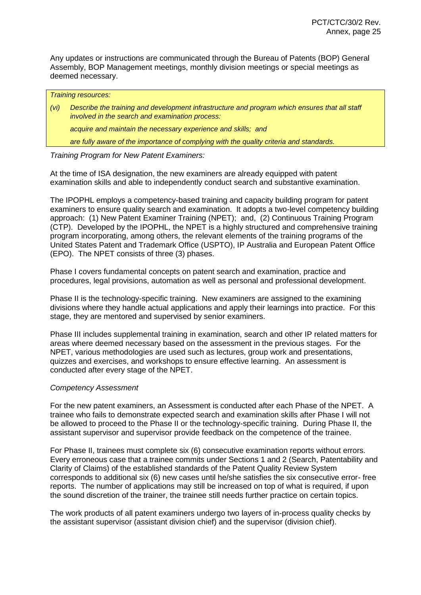Any updates or instructions are communicated through the Bureau of Patents (BOP) General Assembly, BOP Management meetings, monthly division meetings or special meetings as deemed necessary.

|      | <b>Training resources:</b>                                                                                                                       |
|------|--------------------------------------------------------------------------------------------------------------------------------------------------|
| (vi) | Describe the training and development infrastructure and program which ensures that all staff<br>involved in the search and examination process: |
|      | acquire and maintain the necessary experience and skills; and                                                                                    |
|      | are fully aware of the importance of complying with the quality criteria and standards.                                                          |
|      |                                                                                                                                                  |

# *Training Program for New Patent Examiners:*

At the time of ISA designation, the new examiners are already equipped with patent examination skills and able to independently conduct search and substantive examination.

The IPOPHL employs a competency-based training and capacity building program for patent examiners to ensure quality search and examination. It adopts a two-level competency building approach: (1) New Patent Examiner Training (NPET); and, (2) Continuous Training Program (CTP). Developed by the IPOPHL, the NPET is a highly structured and comprehensive training program incorporating, among others, the relevant elements of the training programs of the United States Patent and Trademark Office (USPTO), IP Australia and European Patent Office (EPO). The NPET consists of three (3) phases.

Phase I covers fundamental concepts on patent search and examination, practice and procedures, legal provisions, automation as well as personal and professional development.

Phase II is the technology-specific training. New examiners are assigned to the examining divisions where they handle actual applications and apply their learnings into practice. For this stage, they are mentored and supervised by senior examiners.

Phase III includes supplemental training in examination, search and other IP related matters for areas where deemed necessary based on the assessment in the previous stages. For the NPET, various methodologies are used such as lectures, group work and presentations, quizzes and exercises, and workshops to ensure effective learning. An assessment is conducted after every stage of the NPET.

#### *Competency Assessment*

For the new patent examiners, an Assessment is conducted after each Phase of the NPET. A trainee who fails to demonstrate expected search and examination skills after Phase I will not be allowed to proceed to the Phase II or the technology-specific training. During Phase II, the assistant supervisor and supervisor provide feedback on the competence of the trainee.

For Phase II, trainees must complete six (6) consecutive examination reports without errors. Every erroneous case that a trainee commits under Sections 1 and 2 (Search, Patentability and Clarity of Claims) of the established standards of the Patent Quality Review System corresponds to additional six (6) new cases until he/she satisfies the six consecutive error- free reports. The number of applications may still be increased on top of what is required, if upon the sound discretion of the trainer, the trainee still needs further practice on certain topics.

The work products of all patent examiners undergo two layers of in-process quality checks by the assistant supervisor (assistant division chief) and the supervisor (division chief).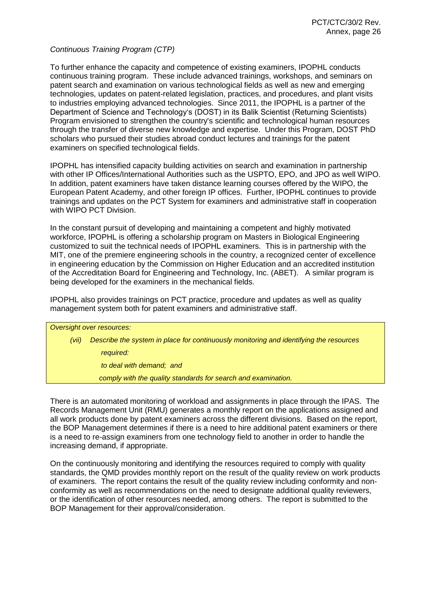*Continuous Training Program (CTP)*

To further enhance the capacity and competence of existing examiners, IPOPHL conducts continuous training program. These include advanced trainings, workshops, and seminars on patent search and examination on various technological fields as well as new and emerging technologies, updates on patent-related legislation, practices, and procedures, and plant visits to industries employing advanced technologies. Since 2011, the IPOPHL is a partner of the Department of Science and Technology's (DOST) in its Balik Scientist (Returning Scientists) Program envisioned to strengthen the country's scientific and technological human resources through the transfer of diverse new knowledge and expertise. Under this Program, DOST PhD scholars who pursued their studies abroad conduct lectures and trainings for the patent examiners on specified technological fields.

IPOPHL has intensified capacity building activities on search and examination in partnership with other IP Offices/International Authorities such as the USPTO, EPO, and JPO as well WIPO. In addition, patent examiners have taken distance learning courses offered by the WIPO, the European Patent Academy, and other foreign IP offices. Further, IPOPHL continues to provide trainings and updates on the PCT System for examiners and administrative staff in cooperation with WIPO PCT Division.

In the constant pursuit of developing and maintaining a competent and highly motivated workforce, IPOPHL is offering a scholarship program on Masters in Biological Engineering customized to suit the technical needs of IPOPHL examiners. This is in partnership with the MIT, one of the premiere engineering schools in the country, a recognized center of excellence in engineering education by the Commission on Higher Education and an accredited institution of the Accreditation Board for Engineering and Technology, Inc. (ABET). A similar program is being developed for the examiners in the mechanical fields.

IPOPHL also provides trainings on PCT practice, procedure and updates as well as quality management system both for patent examiners and administrative staff.

*Oversight over resources: (vii) Describe the system in place for continuously monitoring and identifying the resources required: to deal with demand; and comply with the quality standards for search and examination.*

There is an automated monitoring of workload and assignments in place through the IPAS. The Records Management Unit (RMU) generates a monthly report on the applications assigned and all work products done by patent examiners across the different divisions. Based on the report, the BOP Management determines if there is a need to hire additional patent examiners or there is a need to re-assign examiners from one technology field to another in order to handle the increasing demand, if appropriate.

On the continuously monitoring and identifying the resources required to comply with quality standards, the QMD provides monthly report on the result of the quality review on work products of examiners. The report contains the result of the quality review including conformity and nonconformity as well as recommendations on the need to designate additional quality reviewers, or the identification of other resources needed, among others. The report is submitted to the BOP Management for their approval/consideration.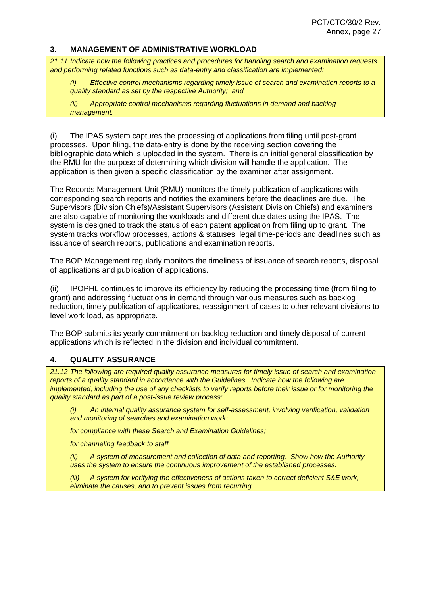#### **3. MANAGEMENT OF ADMINISTRATIVE WORKLOAD**

*21.11 Indicate how the following practices and procedures for handling search and examination requests and performing related functions such as data-entry and classification are implemented:*

*(i) Effective control mechanisms regarding timely issue of search and examination reports to a quality standard as set by the respective Authority; and*

*(ii) Appropriate control mechanisms regarding fluctuations in demand and backlog management.*

(i) The IPAS system captures the processing of applications from filing until post-grant processes. Upon filing, the data-entry is done by the receiving section covering the bibliographic data which is uploaded in the system. There is an initial general classification by the RMU for the purpose of determining which division will handle the application. The application is then given a specific classification by the examiner after assignment.

The Records Management Unit (RMU) monitors the timely publication of applications with corresponding search reports and notifies the examiners before the deadlines are due. The Supervisors (Division Chiefs)/Assistant Supervisors (Assistant Division Chiefs) and examiners are also capable of monitoring the workloads and different due dates using the IPAS. The system is designed to track the status of each patent application from filing up to grant. The system tracks workflow processes, actions & statuses, legal time-periods and deadlines such as issuance of search reports, publications and examination reports.

The BOP Management regularly monitors the timeliness of issuance of search reports, disposal of applications and publication of applications.

(ii) IPOPHL continues to improve its efficiency by reducing the processing time (from filing to grant) and addressing fluctuations in demand through various measures such as backlog reduction, timely publication of applications, reassignment of cases to other relevant divisions to level work load, as appropriate.

The BOP submits its yearly commitment on backlog reduction and timely disposal of current applications which is reflected in the division and individual commitment.

#### **4. QUALITY ASSURANCE**

*21.12 The following are required quality assurance measures for timely issue of search and examination reports of a quality standard in accordance with the Guidelines. Indicate how the following are implemented, including the use of any checklists to verify reports before their issue or for monitoring the quality standard as part of a post-issue review process:*

*(i) An internal quality assurance system for self-assessment, involving verification, validation and monitoring of searches and examination work:*

*for compliance with these Search and Examination Guidelines;*

*for channeling feedback to staff.*

*(ii) A system of measurement and collection of data and reporting. Show how the Authority uses the system to ensure the continuous improvement of the established processes.*

*(iii) A system for verifying the effectiveness of actions taken to correct deficient S&E work, eliminate the causes, and to prevent issues from recurring.*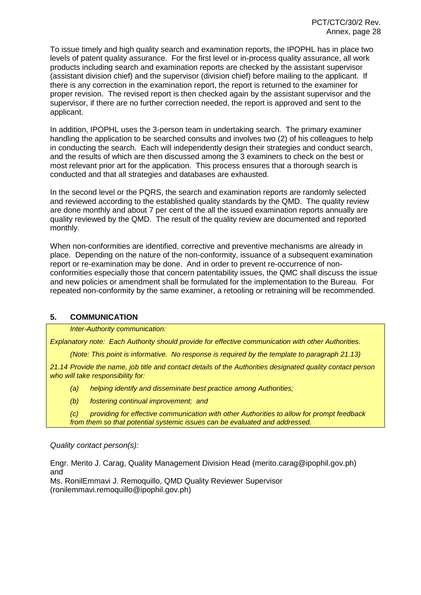To issue timely and high quality search and examination reports, the IPOPHL has in place two levels of patent quality assurance. For the first level or in-process quality assurance, all work products including search and examination reports are checked by the assistant supervisor (assistant division chief) and the supervisor (division chief) before mailing to the applicant. If there is any correction in the examination report, the report is returned to the examiner for proper revision. The revised report is then checked again by the assistant supervisor and the supervisor, if there are no further correction needed, the report is approved and sent to the applicant.

In addition, IPOPHL uses the 3-person team in undertaking search. The primary examiner handling the application to be searched consults and involves two (2) of his colleagues to help in conducting the search. Each will independently design their strategies and conduct search, and the results of which are then discussed among the 3 examiners to check on the best or most relevant prior art for the application. This process ensures that a thorough search is conducted and that all strategies and databases are exhausted.

In the second level or the PQRS, the search and examination reports are randomly selected and reviewed according to the established quality standards by the QMD. The quality review are done monthly and about 7 per cent of the all the issued examination reports annually are quality reviewed by the QMD. The result of the quality review are documented and reported monthly.

When non-conformities are identified, corrective and preventive mechanisms are already in place. Depending on the nature of the non-conformity, issuance of a subsequent examination report or re-examination may be done. And in order to prevent re-occurrence of nonconformities especially those that concern patentability issues, the QMC shall discuss the issue and new policies or amendment shall be formulated for the implementation to the Bureau. For repeated non-conformity by the same examiner, a retooling or retraining will be recommended.

# **5. COMMUNICATION**

*Inter-Authority communication:*

*Explanatory note: Each Authority should provide for effective communication with other Authorities.*

*(Note: This point is informative. No response is required by the template to paragraph 21.13)*

*21.14 Provide the name, job title and contact details of the Authorities designated quality contact person who will take responsibility for:*

- *(a) helping identify and disseminate best practice among Authorities;*
- *(b) fostering continual improvement; and*

*(c) providing for effective communication with other Authorities to allow for prompt feedback from them so that potential systemic issues can be evaluated and addressed.*

*Quality contact person(s):*

Engr. Merito J. Carag, Quality Management Division Head (merito.carag@ipophil.gov.ph) and

Ms. RonilEmmavi J. Remoquillo, QMD Quality Reviewer Supervisor (ronilemmavi.remoquillo@ipophil.gov.ph)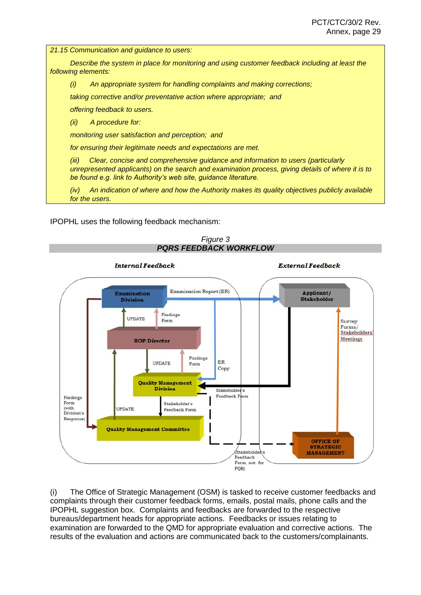*21.15 Communication and guidance to users:*

*Describe the system in place for monitoring and using customer feedback including at least the following elements:*

*(i) An appropriate system for handling complaints and making corrections;*

*taking corrective and/or preventative action where appropriate; and*

*offering feedback to users.*

*(ii) A procedure for:*

*monitoring user satisfaction and perception; and*

*for ensuring their legitimate needs and expectations are met.*

*(iii) Clear, concise and comprehensive guidance and information to users (particularly unrepresented applicants) on the search and examination process, giving details of where it is to be found e.g. link to Authority's web site, guidance literature.*

*(iv) An indication of where and how the Authority makes its quality objectives publicly available for the users.*

IPOPHL uses the following feedback mechanism:



(i) The Office of Strategic Management (OSM) is tasked to receive customer feedbacks and complaints through their customer feedback forms, emails, postal mails, phone calls and the IPOPHL suggestion box. Complaints and feedbacks are forwarded to the respective bureaus/department heads for appropriate actions. Feedbacks or issues relating to examination are forwarded to the QMD for appropriate evaluation and corrective actions. The results of the evaluation and actions are communicated back to the customers/complainants.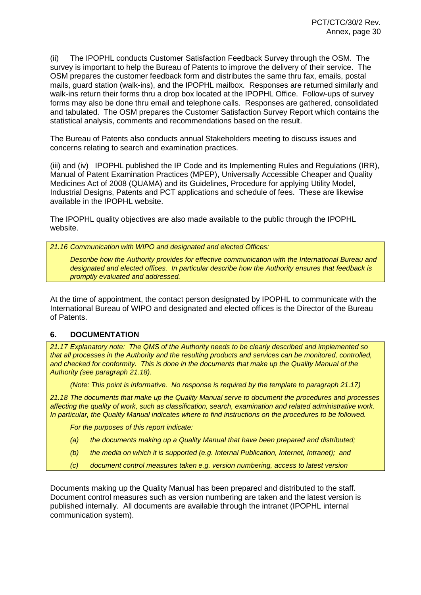(ii) The IPOPHL conducts Customer Satisfaction Feedback Survey through the OSM. The survey is important to help the Bureau of Patents to improve the delivery of their service. The OSM prepares the customer feedback form and distributes the same thru fax, emails, postal mails, guard station (walk-ins), and the IPOPHL mailbox. Responses are returned similarly and walk-ins return their forms thru a drop box located at the IPOPHL Office. Follow-ups of survey forms may also be done thru email and telephone calls. Responses are gathered, consolidated and tabulated. The OSM prepares the Customer Satisfaction Survey Report which contains the statistical analysis, comments and recommendations based on the result.

The Bureau of Patents also conducts annual Stakeholders meeting to discuss issues and concerns relating to search and examination practices.

(iii) and (iv) IPOPHL published the IP Code and its Implementing Rules and Regulations (IRR), Manual of Patent Examination Practices (MPEP), Universally Accessible Cheaper and Quality Medicines Act of 2008 (QUAMA) and its Guidelines, Procedure for applying Utility Model, Industrial Designs, Patents and PCT applications and schedule of fees. These are likewise available in the IPOPHL website.

The IPOPHL quality objectives are also made available to the public through the IPOPHL website.

*21.16 Communication with WIPO and designated and elected Offices:*

*Describe how the Authority provides for effective communication with the International Bureau and designated and elected offices. In particular describe how the Authority ensures that feedback is promptly evaluated and addressed.*

At the time of appointment, the contact person designated by IPOPHL to communicate with the International Bureau of WIPO and designated and elected offices is the Director of the Bureau of Patents.

#### **6. DOCUMENTATION**

*21.17 Explanatory note: The QMS of the Authority needs to be clearly described and implemented so that all processes in the Authority and the resulting products and services can be monitored, controlled, and checked for conformity. This is done in the documents that make up the Quality Manual of the Authority (see paragraph 21.18).*

*(Note: This point is informative. No response is required by the template to paragraph 21.17)*

*21.18 The documents that make up the Quality Manual serve to document the procedures and processes affecting the quality of work, such as classification, search, examination and related administrative work. In particular, the Quality Manual indicates where to find instructions on the procedures to be followed.*

*For the purposes of this report indicate:*

- *(a) the documents making up a Quality Manual that have been prepared and distributed;*
- *(b) the media on which it is supported (e.g. Internal Publication, Internet, Intranet); and*
- *(c) document control measures taken e.g. version numbering, access to latest version*

Documents making up the Quality Manual has been prepared and distributed to the staff. Document control measures such as version numbering are taken and the latest version is published internally. All documents are available through the intranet (IPOPHL internal communication system).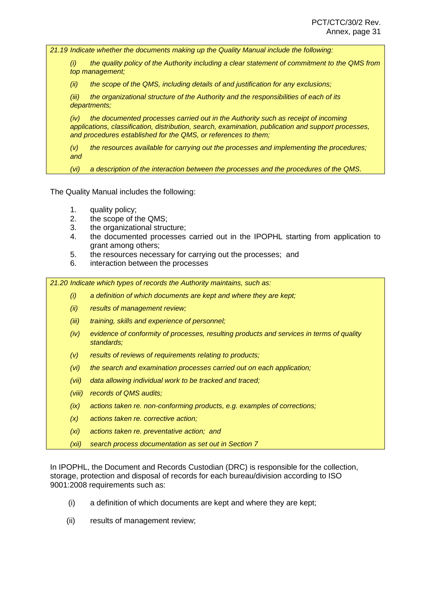*21.19 Indicate whether the documents making up the Quality Manual include the following:*

*(i) the quality policy of the Authority including a clear statement of commitment to the QMS from top management;*

*(ii) the scope of the QMS, including details of and justification for any exclusions;*

*(iii) the organizational structure of the Authority and the responsibilities of each of its departments;*

*(iv) the documented processes carried out in the Authority such as receipt of incoming applications, classification, distribution, search, examination, publication and support processes, and procedures established for the QMS, or references to them;*

*(v) the resources available for carrying out the processes and implementing the procedures; and*

*(vi) a description of the interaction between the processes and the procedures of the QMS.*

The Quality Manual includes the following:

- 1. quality policy;
- 2. the scope of the QMS;
- 3. the organizational structure;
- 4. the documented processes carried out in the IPOPHL starting from application to grant among others;
- 5. the resources necessary for carrying out the processes; and
- 6. interaction between the processes

*21.20 Indicate which types of records the Authority maintains, such as:*

- *(i) a definition of which documents are kept and where they are kept;*
- *(ii) results of management review;*
- *(iii) training, skills and experience of personnel;*
- *(iv) evidence of conformity of processes, resulting products and services in terms of quality standards;*
- *(v) results of reviews of requirements relating to products;*
- *(vi) the search and examination processes carried out on each application;*
- *(vii) data allowing individual work to be tracked and traced;*
- *(viii) records of QMS audits;*
- *(ix) actions taken re. non-conforming products, e.g. examples of corrections;*
- *(x) actions taken re. corrective action;*
- *(xi) actions taken re. preventative action; and*
- *(xii) search process documentation as set out in Section 7*

In IPOPHL, the Document and Records Custodian (DRC) is responsible for the collection, storage, protection and disposal of records for each bureau/division according to ISO 9001:2008 requirements such as:

- (i) a definition of which documents are kept and where they are kept;
- (ii) results of management review;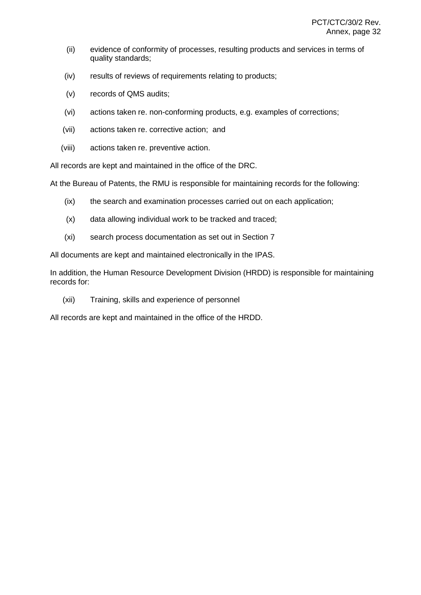- (ii) evidence of conformity of processes, resulting products and services in terms of quality standards;
- (iv) results of reviews of requirements relating to products;
- (v) records of QMS audits;
- (vi) actions taken re. non-conforming products, e.g. examples of corrections;
- (vii) actions taken re. corrective action; and
- (viii) actions taken re. preventive action.

All records are kept and maintained in the office of the DRC.

At the Bureau of Patents, the RMU is responsible for maintaining records for the following:

- (ix) the search and examination processes carried out on each application;
- (x) data allowing individual work to be tracked and traced;
- (xi) search process documentation as set out in Section 7

All documents are kept and maintained electronically in the IPAS.

In addition, the Human Resource Development Division (HRDD) is responsible for maintaining records for:

(xii) Training, skills and experience of personnel

All records are kept and maintained in the office of the HRDD.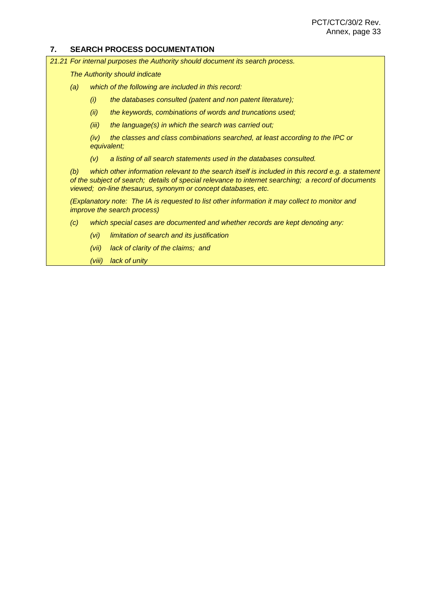#### **7. SEARCH PROCESS DOCUMENTATION**

*21.21 For internal purposes the Authority should document its search process.*

*The Authority should indicate*

- *(a) which of the following are included in this record:*
	- *(i) the databases consulted (patent and non patent literature);*
	- *(ii) the keywords, combinations of words and truncations used;*
	- *(iii) the language(s) in which the search was carried out;*

*(iv) the classes and class combinations searched, at least according to the IPC or equivalent;*

*(v) a listing of all search statements used in the databases consulted.*

*(b) which other information relevant to the search itself is included in this record e.g. a statement of the subject of search; details of special relevance to internet searching; a record of documents viewed; on-line thesaurus, synonym or concept databases, etc.*

*(Explanatory note: The IA is requested to list other information it may collect to monitor and improve the search process)*

- *(c) which special cases are documented and whether records are kept denoting any:*
	- *(vi) limitation of search and its justification*
	- *(vii) lack of clarity of the claims; and*

*(viii) lack of unity*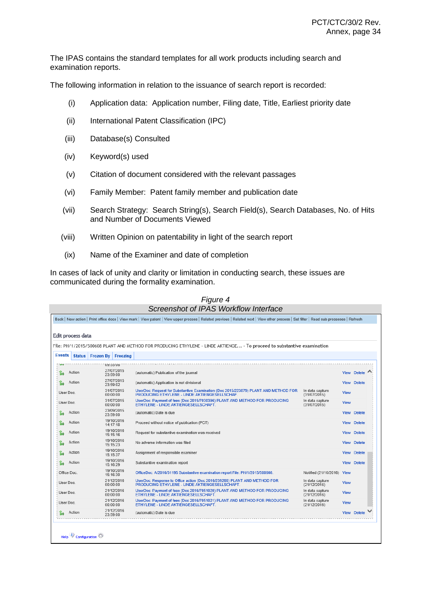The IPAS contains the standard templates for all work products including search and examination reports.

The following information in relation to the issuance of search report is recorded:

- (i) Application data: Application number, Filing date, Title, Earliest priority date
- (ii) International Patent Classification (IPC)
- (iii) Database(s) Consulted
- (iv) Keyword(s) used
- (v) Citation of document considered with the relevant passages
- (vi) Family Member: Patent family member and publication date
- (vii) Search Strategy: Search String(s), Search Field(s), Search Databases, No. of Hits and Number of Documents Viewed
- (viii) Written Opinion on patentability in light of the search report
- (ix) Name of the Examiner and date of completion

In cases of lack of unity and clarity or limitation in conducting search, these issues are communicated during the formality examination.

| Edit process data |                               |                        |                                                                                                                                      |                                 |             |                    |
|-------------------|-------------------------------|------------------------|--------------------------------------------------------------------------------------------------------------------------------------|---------------------------------|-------------|--------------------|
|                   |                               |                        |                                                                                                                                      |                                 |             |                    |
|                   |                               |                        | File: PH/1/2015/500608 PLANT AND METHOD FOR PRODUCING ETHYLENE - LINDE AKTIENGE - To proceed to substantive examination              |                                 |             |                    |
| <b>Events</b>     | Status   Frozen By   Freezing |                        |                                                                                                                                      |                                 |             |                    |
| <b>The State</b>  |                               | UY.55.Ub               |                                                                                                                                      |                                 |             |                    |
| Action            | 23:59:00                      | 27/07/2015             | (automatic) Publication of the journal                                                                                               |                                 |             | View Delete        |
| Action            |                               | 27/07/2015<br>23:59:02 | (automatic) Application is not divisional                                                                                            |                                 |             | <b>View Delete</b> |
| User Doc.         |                               | 31/07/2015<br>00:00:00 | UserDoc: Request for Substantive Examination (Doc 2015/223879) PLANT AND METHOD FOR<br>PRODUCING ETHYLENE - LINDE AKTIENGESELLSCHAF. | In data capture<br>(31/07/2015) | <b>View</b> |                    |
| User Doc.         |                               | 31/07/2015<br>00:00:00 | UserDoc: Payment of fees (Doc 2015/7030396) PLANT AND METHOD FOR PRODUCING<br>ETHYLENE - LINDE AKTIENGESELLSCHAFT.                   | In data capture<br>(31/07/2015) | <b>View</b> |                    |
| Action<br>Ъ       | 23:59:00                      | 23/09/2015             | (automatic) Date is due                                                                                                              |                                 |             | View Delete        |
| Action            |                               | 19/10/2016<br>14:17:18 | Proceed without notice of publication (PCT)                                                                                          |                                 |             | View Delete        |
| Action            |                               | 19/10/2016<br>15:15:16 | Request for substantive examination was received                                                                                     |                                 |             | <b>View Delete</b> |
| Action            |                               | 19/10/2016<br>15:15:23 | No adverse information was filed                                                                                                     |                                 |             | View Delete        |
| Action            |                               | 19/10/2016<br>15:15:37 | Assignment of responsible examiner                                                                                                   |                                 | <b>View</b> | <b>Delete</b>      |
| Action            | 15:16:29                      | 19/10/2016             | Substantive examination report                                                                                                       |                                 |             | <b>View Delete</b> |
| Office Doc.       |                               | 19/10/2016<br>15:16:30 | OfficeDoc: A/2016/31195 Substantive examination report File: PH/1/2015/500608.                                                       | Notified (21/10/2016) View      |             |                    |
| User Doc.         | 00:00:00                      | 21/12/2016             | UserDoc: Response to Office action (Doc 2016/239266) PLANT AND METHOD FOR<br>PRODUCING ETHYLENE - LINDE AKTIENGESELLSCHAFT.          | In data capture<br>(21/12/2016) | <b>View</b> |                    |
| User Doc.         |                               | 21/12/2016<br>00:00:00 | UserDoc: Payment of fees (Doc 2016/7051020) PLANT AND METHOD FOR PRODUCING<br>ETHYLENE - LINDE AKTIENGESELLSCHAFT.                   | In data capture<br>(21/12/2016) | <b>View</b> |                    |
| User Doc.         |                               | 21/12/2016<br>00:00:00 | UserDoc: Payment of fees (Doc 2016/7051021) PLANT AND METHOD FOR PRODUCING<br>ETHYLENE - LINDE AKTIENGESELLSCHAFT.                   | In data capture<br>(21/12/2016) | <b>View</b> |                    |
| Action            | 23:59:00                      | 21/12/2016             | (automatic) Date is due                                                                                                              |                                 |             | View Delete        |

# *Figure 4*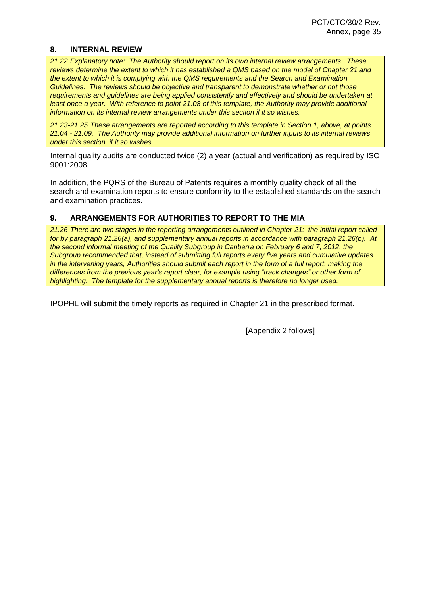#### **8. INTERNAL REVIEW**

*21.22 Explanatory note: The Authority should report on its own internal review arrangements. These reviews determine the extent to which it has established a QMS based on the model of Chapter 21 and the extent to which it is complying with the QMS requirements and the Search and Examination Guidelines. The reviews should be objective and transparent to demonstrate whether or not those requirements and guidelines are being applied consistently and effectively and should be undertaken at*  least once a year. With reference to point 21.08 of this template, the Authority may provide additional *information on its internal review arrangements under this section if it so wishes.*

*21.23-21.25 These arrangements are reported according to this template in Section 1, above, at points 21.04 - 21.09. The Authority may provide additional information on further inputs to its internal reviews under this section, if it so wishes.*

Internal quality audits are conducted twice (2) a year (actual and verification) as required by ISO 9001:2008.

In addition, the PQRS of the Bureau of Patents requires a monthly quality check of all the search and examination reports to ensure conformity to the established standards on the search and examination practices.

#### **9. ARRANGEMENTS FOR AUTHORITIES TO REPORT TO THE MIA**

*21.26 There are two stages in the reporting arrangements outlined in Chapter 21: the initial report called for by paragraph 21.26(a), and supplementary annual reports in accordance with paragraph 21.26(b). At the second informal meeting of the Quality Subgroup in Canberra on February 6 and 7, 2012, the Subgroup recommended that, instead of submitting full reports every five years and cumulative updates in the intervening years, Authorities should submit each report in the form of a full report, making the differences from the previous year's report clear, for example using "track changes" or other form of highlighting. The template for the supplementary annual reports is therefore no longer used.*

IPOPHL will submit the timely reports as required in Chapter 21 in the prescribed format.

[Appendix 2 follows]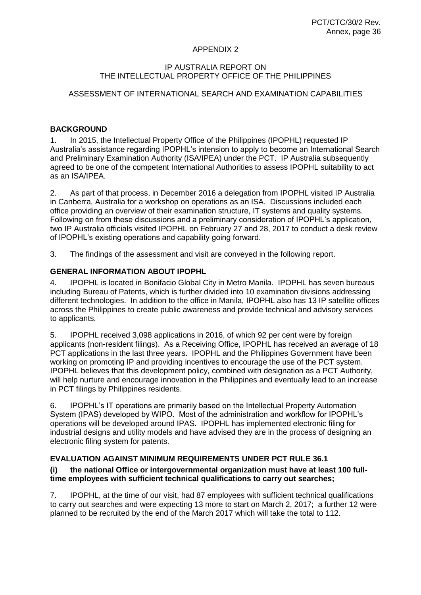## APPENDIX 2

#### IP AUSTRALIA REPORT ON THE INTELLECTUAL PROPERTY OFFICE OF THE PHILIPPINES

# ASSESSMENT OF INTERNATIONAL SEARCH AND EXAMINATION CAPABILITIES

# **BACKGROUND**

1. In 2015, the Intellectual Property Office of the Philippines (IPOPHL) requested IP Australia's assistance regarding IPOPHL's intension to apply to become an International Search and Preliminary Examination Authority (ISA/IPEA) under the PCT. IP Australia subsequently agreed to be one of the competent International Authorities to assess IPOPHL suitability to act as an ISA/IPEA.

2. As part of that process, in December 2016 a delegation from IPOPHL visited IP Australia in Canberra, Australia for a workshop on operations as an ISA. Discussions included each office providing an overview of their examination structure, IT systems and quality systems. Following on from these discussions and a preliminary consideration of IPOPHL's application, two IP Australia officials visited IPOPHL on February 27 and 28, 2017 to conduct a desk review of IPOPHL's existing operations and capability going forward.

3. The findings of the assessment and visit are conveyed in the following report.

# **GENERAL INFORMATION ABOUT IPOPHL**

4. IPOPHL is located in Bonifacio Global City in Metro Manila. IPOPHL has seven bureaus including Bureau of Patents, which is further divided into 10 examination divisions addressing different technologies. In addition to the office in Manila, IPOPHL also has 13 IP satellite offices across the Philippines to create public awareness and provide technical and advisory services to applicants.

5. IPOPHL received 3,098 applications in 2016, of which 92 per cent were by foreign applicants (non-resident filings). As a Receiving Office, IPOPHL has received an average of 18 PCT applications in the last three years. IPOPHL and the Philippines Government have been working on promoting IP and providing incentives to encourage the use of the PCT system. IPOPHL believes that this development policy, combined with designation as a PCT Authority, will help nurture and encourage innovation in the Philippines and eventually lead to an increase in PCT filings by Philippines residents.

6. IPOPHL's IT operations are primarily based on the Intellectual Property Automation System (IPAS) developed by WIPO. Most of the administration and workflow for IPOPHL's operations will be developed around IPAS. IPOPHL has implemented electronic filing for industrial designs and utility models and have advised they are in the process of designing an electronic filing system for patents.

# **EVALUATION AGAINST MINIMUM REQUIREMENTS UNDER PCT RULE 36.1**

# **(i) the national Office or intergovernmental organization must have at least 100 fulltime employees with sufficient technical qualifications to carry out searches;**

7. IPOPHL, at the time of our visit, had 87 employees with sufficient technical qualifications to carry out searches and were expecting 13 more to start on March 2, 2017; a further 12 were planned to be recruited by the end of the March 2017 which will take the total to 112.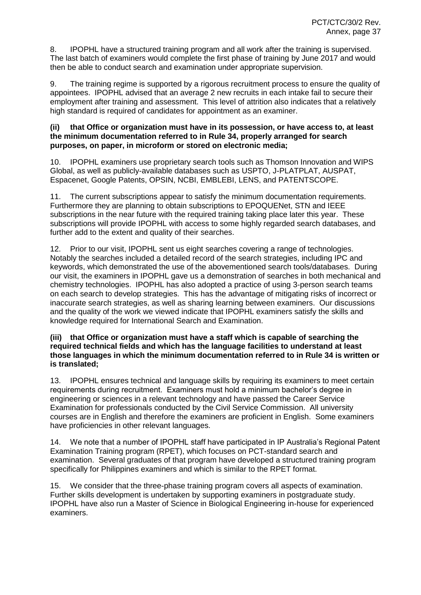8. IPOPHL have a structured training program and all work after the training is supervised. The last batch of examiners would complete the first phase of training by June 2017 and would then be able to conduct search and examination under appropriate supervision.

9. The training regime is supported by a rigorous recruitment process to ensure the quality of appointees. IPOPHL advised that an average 2 new recruits in each intake fail to secure their employment after training and assessment. This level of attrition also indicates that a relatively high standard is required of candidates for appointment as an examiner.

#### **(ii) that Office or organization must have in its possession, or have access to, at least the minimum documentation referred to in Rule 34, properly arranged for search purposes, on paper, in microform or stored on electronic media;**

10. IPOPHL examiners use proprietary search tools such as Thomson Innovation and WIPS Global, as well as publicly-available databases such as USPTO, J-PLATPLAT, AUSPAT, Espacenet, Google Patents, OPSIN, NCBI, EMBLEBI, LENS, and PATENTSCOPE.

11. The current subscriptions appear to satisfy the minimum documentation requirements. Furthermore they are planning to obtain subscriptions to EPOQUENet, STN and IEEE subscriptions in the near future with the required training taking place later this year. These subscriptions will provide IPOPHL with access to some highly regarded search databases, and further add to the extent and quality of their searches.

12. Prior to our visit, IPOPHL sent us eight searches covering a range of technologies. Notably the searches included a detailed record of the search strategies, including IPC and keywords, which demonstrated the use of the abovementioned search tools/databases. During our visit, the examiners in IPOPHL gave us a demonstration of searches in both mechanical and chemistry technologies. IPOPHL has also adopted a practice of using 3-person search teams on each search to develop strategies. This has the advantage of mitigating risks of incorrect or inaccurate search strategies, as well as sharing learning between examiners. Our discussions and the quality of the work we viewed indicate that IPOPHL examiners satisfy the skills and knowledge required for International Search and Examination.

#### **(iii) that Office or organization must have a staff which is capable of searching the required technical fields and which has the language facilities to understand at least those languages in which the minimum documentation referred to in Rule 34 is written or is translated;**

13. IPOPHL ensures technical and language skills by requiring its examiners to meet certain requirements during recruitment. Examiners must hold a minimum bachelor's degree in engineering or sciences in a relevant technology and have passed the Career Service Examination for professionals conducted by the Civil Service Commission. All university courses are in English and therefore the examiners are proficient in English. Some examiners have proficiencies in other relevant languages.

14. We note that a number of IPOPHL staff have participated in IP Australia's Regional Patent Examination Training program (RPET), which focuses on PCT-standard search and examination. Several graduates of that program have developed a structured training program specifically for Philippines examiners and which is similar to the RPET format.

We consider that the three-phase training program covers all aspects of examination. Further skills development is undertaken by supporting examiners in postgraduate study. IPOPHL have also run a Master of Science in Biological Engineering in-house for experienced examiners.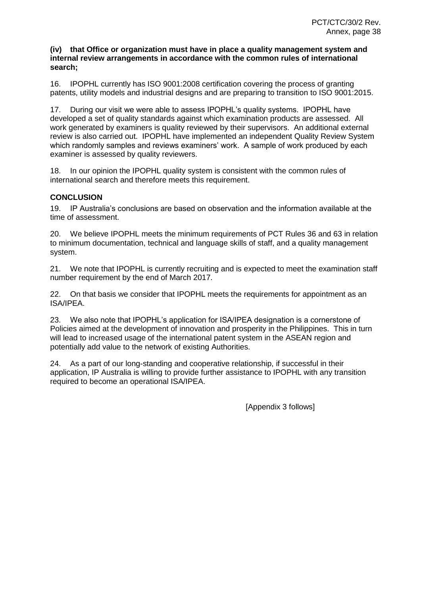#### **(iv) that Office or organization must have in place a quality management system and internal review arrangements in accordance with the common rules of international search;**

16. IPOPHL currently has ISO 9001:2008 certification covering the process of granting patents, utility models and industrial designs and are preparing to transition to ISO 9001:2015.

17. During our visit we were able to assess IPOPHL's quality systems. IPOPHL have developed a set of quality standards against which examination products are assessed. All work generated by examiners is quality reviewed by their supervisors. An additional external review is also carried out. IPOPHL have implemented an independent Quality Review System which randomly samples and reviews examiners' work. A sample of work produced by each examiner is assessed by quality reviewers.

18. In our opinion the IPOPHL quality system is consistent with the common rules of international search and therefore meets this requirement.

#### **CONCLUSION**

19. IP Australia's conclusions are based on observation and the information available at the time of assessment.

20. We believe IPOPHL meets the minimum requirements of PCT Rules 36 and 63 in relation to minimum documentation, technical and language skills of staff, and a quality management system.

21. We note that IPOPHL is currently recruiting and is expected to meet the examination staff number requirement by the end of March 2017.

22. On that basis we consider that IPOPHL meets the requirements for appointment as an ISA/IPEA.

23. We also note that IPOPHL's application for ISA/IPEA designation is a cornerstone of Policies aimed at the development of innovation and prosperity in the Philippines. This in turn will lead to increased usage of the international patent system in the ASEAN region and potentially add value to the network of existing Authorities.

24. As a part of our long-standing and cooperative relationship, if successful in their application, IP Australia is willing to provide further assistance to IPOPHL with any transition required to become an operational ISA/IPEA.

[Appendix 3 follows]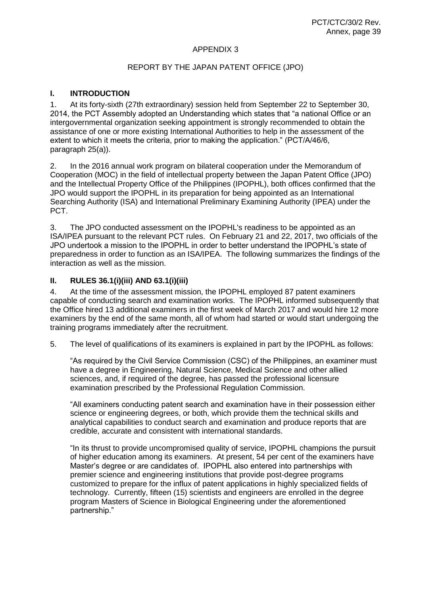#### APPENDIX 3

#### REPORT BY THE JAPAN PATENT OFFICE (JPO)

## **I. INTRODUCTION**

1. At its forty-sixth (27th extraordinary) session held from September 22 to September 30, 2014, the PCT Assembly adopted an Understanding which states that "a national Office or an intergovernmental organization seeking appointment is strongly recommended to obtain the assistance of one or more existing International Authorities to help in the assessment of the extent to which it meets the criteria, prior to making the application." (PCT/A/46/6, paragraph 25(a)).

2. In the 2016 annual work program on bilateral cooperation under the Memorandum of Cooperation (MOC) in the field of intellectual property between the Japan Patent Office (JPO) and the Intellectual Property Office of the Philippines (IPOPHL), both offices confirmed that the JPO would support the IPOPHL in its preparation for being appointed as an International Searching Authority (ISA) and International Preliminary Examining Authority (IPEA) under the PCT.

3. The JPO conducted assessment on the IPOPHL's readiness to be appointed as an ISA/IPEA pursuant to the relevant PCT rules. On February 21 and 22, 2017, two officials of the JPO undertook a mission to the IPOPHL in order to better understand the IPOPHL's state of preparedness in order to function as an ISA/IPEA. The following summarizes the findings of the interaction as well as the mission.

#### **II. RULES 36.1(i)(iii) AND 63.1(i)(iii)**

4. At the time of the assessment mission, the IPOPHL employed 87 patent examiners capable of conducting search and examination works. The IPOPHL informed subsequently that the Office hired 13 additional examiners in the first week of March 2017 and would hire 12 more examiners by the end of the same month, all of whom had started or would start undergoing the training programs immediately after the recruitment.

5. The level of qualifications of its examiners is explained in part by the IPOPHL as follows:

"As required by the Civil Service Commission (CSC) of the Philippines, an examiner must have a degree in Engineering, Natural Science, Medical Science and other allied sciences, and, if required of the degree, has passed the professional licensure examination prescribed by the Professional Regulation Commission.

"All examiners conducting patent search and examination have in their possession either science or engineering degrees, or both, which provide them the technical skills and analytical capabilities to conduct search and examination and produce reports that are credible, accurate and consistent with international standards.

"In its thrust to provide uncompromised quality of service, IPOPHL champions the pursuit of higher education among its examiners. At present, 54 per cent of the examiners have Master's degree or are candidates of. IPOPHL also entered into partnerships with premier science and engineering institutions that provide post-degree programs customized to prepare for the influx of patent applications in highly specialized fields of technology. Currently, fifteen (15) scientists and engineers are enrolled in the degree program Masters of Science in Biological Engineering under the aforementioned partnership."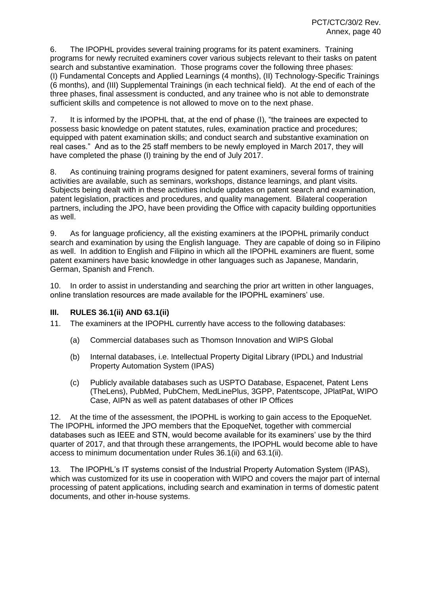6. The IPOPHL provides several training programs for its patent examiners. Training programs for newly recruited examiners cover various subjects relevant to their tasks on patent search and substantive examination. Those programs cover the following three phases: (I) Fundamental Concepts and Applied Learnings (4 months), (II) Technology-Specific Trainings (6 months), and (III) Supplemental Trainings (in each technical field). At the end of each of the three phases, final assessment is conducted, and any trainee who is not able to demonstrate sufficient skills and competence is not allowed to move on to the next phase.

7. It is informed by the IPOPHL that, at the end of phase (I), "the trainees are expected to possess basic knowledge on patent statutes, rules, examination practice and procedures; equipped with patent examination skills; and conduct search and substantive examination on real cases." And as to the 25 staff members to be newly employed in March 2017, they will have completed the phase (I) training by the end of July 2017.

8. As continuing training programs designed for patent examiners, several forms of training activities are available, such as seminars, workshops, distance learnings, and plant visits. Subjects being dealt with in these activities include updates on patent search and examination, patent legislation, practices and procedures, and quality management. Bilateral cooperation partners, including the JPO, have been providing the Office with capacity building opportunities as well.

9. As for language proficiency, all the existing examiners at the IPOPHL primarily conduct search and examination by using the English language. They are capable of doing so in Filipino as well. In addition to English and Filipino in which all the IPOPHL examiners are fluent, some patent examiners have basic knowledge in other languages such as Japanese, Mandarin, German, Spanish and French.

10. In order to assist in understanding and searching the prior art written in other languages, online translation resources are made available for the IPOPHL examiners' use.

#### **III. RULES 36.1(ii) AND 63.1(ii)**

11. The examiners at the IPOPHL currently have access to the following databases:

- (a) Commercial databases such as Thomson Innovation and WIPS Global
- (b) Internal databases, i.e. Intellectual Property Digital Library (IPDL) and Industrial Property Automation System (IPAS)
- (c) Publicly available databases such as USPTO Database, Espacenet, Patent Lens (TheLens), PubMed, PubChem, MedLinePlus, 3GPP, Patentscope, JPlatPat, WIPO Case, AIPN as well as patent databases of other IP Offices

12. At the time of the assessment, the IPOPHL is working to gain access to the EpoqueNet. The IPOPHL informed the JPO members that the EpoqueNet, together with commercial databases such as IEEE and STN, would become available for its examiners' use by the third quarter of 2017, and that through these arrangements, the IPOPHL would become able to have access to minimum documentation under Rules 36.1(ii) and 63.1(ii).

13. The IPOPHL's IT systems consist of the Industrial Property Automation System (IPAS), which was customized for its use in cooperation with WIPO and covers the major part of internal processing of patent applications, including search and examination in terms of domestic patent documents, and other in-house systems.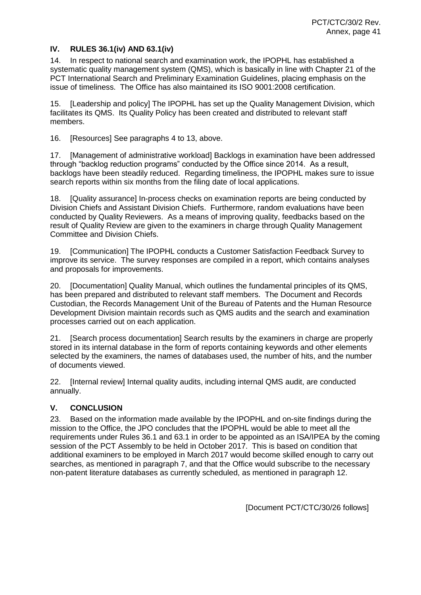# **IV. RULES 36.1(iv) AND 63.1(iv)**

14. In respect to national search and examination work, the IPOPHL has established a systematic quality management system (QMS), which is basically in line with Chapter 21 of the PCT International Search and Preliminary Examination Guidelines, placing emphasis on the issue of timeliness. The Office has also maintained its ISO 9001:2008 certification.

15. [Leadership and policy] The IPOPHL has set up the Quality Management Division, which facilitates its QMS. Its Quality Policy has been created and distributed to relevant staff members.

16. [Resources] See paragraphs 4 to 13, above.

17. [Management of administrative workload] Backlogs in examination have been addressed through "backlog reduction programs" conducted by the Office since 2014. As a result, backlogs have been steadily reduced. Regarding timeliness, the IPOPHL makes sure to issue search reports within six months from the filing date of local applications.

18. [Quality assurance] In-process checks on examination reports are being conducted by Division Chiefs and Assistant Division Chiefs. Furthermore, random evaluations have been conducted by Quality Reviewers. As a means of improving quality, feedbacks based on the result of Quality Review are given to the examiners in charge through Quality Management Committee and Division Chiefs.

19. [Communication] The IPOPHL conducts a Customer Satisfaction Feedback Survey to improve its service. The survey responses are compiled in a report, which contains analyses and proposals for improvements.

20. [Documentation] Quality Manual, which outlines the fundamental principles of its QMS, has been prepared and distributed to relevant staff members. The Document and Records Custodian, the Records Management Unit of the Bureau of Patents and the Human Resource Development Division maintain records such as QMS audits and the search and examination processes carried out on each application.

21. [Search process documentation] Search results by the examiners in charge are properly stored in its internal database in the form of reports containing keywords and other elements selected by the examiners, the names of databases used, the number of hits, and the number of documents viewed.

22. [Internal review] Internal quality audits, including internal QMS audit, are conducted annually.

#### **V. CONCLUSION**

23. Based on the information made available by the IPOPHL and on-site findings during the mission to the Office, the JPO concludes that the IPOPHL would be able to meet all the requirements under Rules 36.1 and 63.1 in order to be appointed as an ISA/IPEA by the coming session of the PCT Assembly to be held in October 2017. This is based on condition that additional examiners to be employed in March 2017 would become skilled enough to carry out searches, as mentioned in paragraph 7, and that the Office would subscribe to the necessary non-patent literature databases as currently scheduled, as mentioned in paragraph 12.

[Document PCT/CTC/30/26 follows]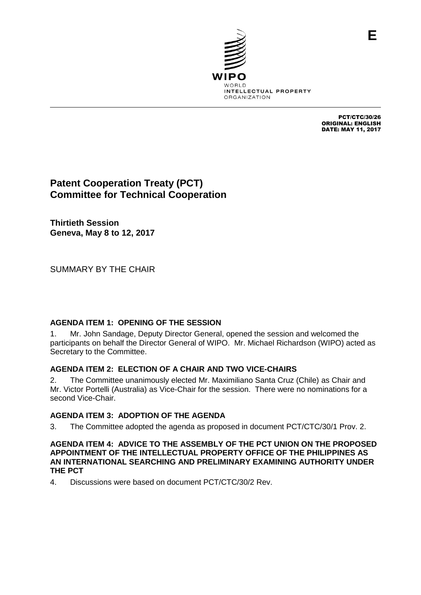

PCT/CTC/30/26 ORIGINAL: ENGLISH DATE: MAY 11, 2017

**E**

# **Patent Cooperation Treaty (PCT) Committee for Technical Cooperation**

**Thirtieth Session Geneva, May 8 to 12, 2017**

SUMMARY BY THE CHAIR

# **AGENDA ITEM 1: OPENING OF THE SESSION**

1. Mr. John Sandage, Deputy Director General, opened the session and welcomed the participants on behalf the Director General of WIPO. Mr. Michael Richardson (WIPO) acted as Secretary to the Committee.

# **AGENDA ITEM 2: ELECTION OF A CHAIR AND TWO VICE-CHAIRS**

2. The Committee unanimously elected Mr. Maximiliano Santa Cruz (Chile) as Chair and Mr. Victor Portelli (Australia) as Vice-Chair for the session. There were no nominations for a second Vice-Chair.

# **AGENDA ITEM 3: ADOPTION OF THE AGENDA**

3. The Committee adopted the agenda as proposed in document PCT/CTC/30/1 Prov. 2.

#### **AGENDA ITEM 4: ADVICE TO THE ASSEMBLY OF THE PCT UNION ON THE PROPOSED APPOINTMENT OF THE INTELLECTUAL PROPERTY OFFICE OF THE PHILIPPINES AS AN INTERNATIONAL SEARCHING AND PRELIMINARY EXAMINING AUTHORITY UNDER THE PCT**

4. Discussions were based on document PCT/CTC/30/2 Rev.